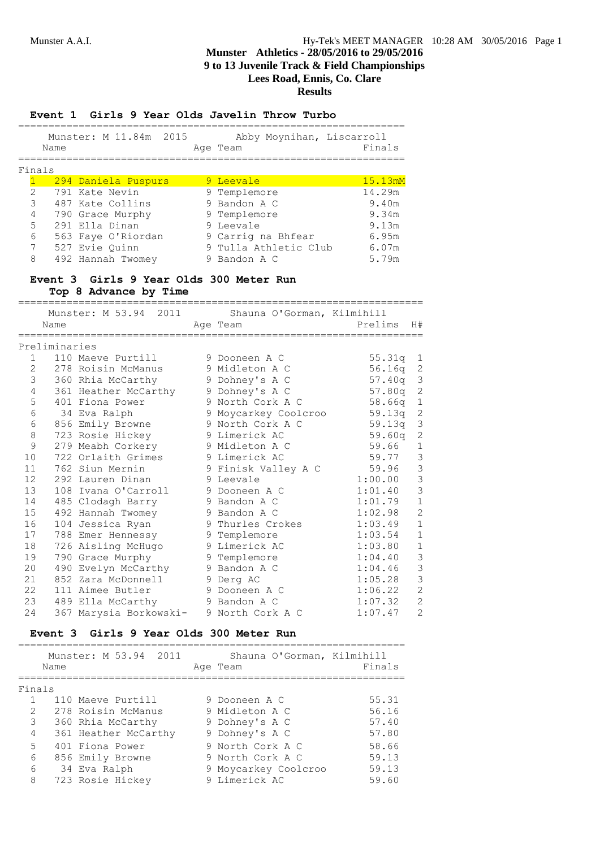### **Event 1 Girls 9 Year Olds Javelin Throw Turbo**

| Munster: M 11.84m 2015 |          | Abby Moynihan, Liscarroll |        |
|------------------------|----------|---------------------------|--------|
| Name                   | Age Team |                           | Finals |
|                        |          |                           |        |
| Finals                 |          |                           |        |

|                      | 294 Daniela Puspurs | 9 Leevale             | 15.13mM |
|----------------------|---------------------|-----------------------|---------|
| $\mathbf{2}^{\circ}$ | 791 Kate Nevin      | 9 Templemore          | 14.29m  |
| 3                    | 487 Kate Collins    | 9 Bandon A C          | 9.40m   |
| $\overline{4}$       | 790 Grace Murphy    | 9 Templemore          | 9.34m   |
| 5                    | 291 Ella Dinan      | 9 Leevale             | 9.13m   |
| 6                    | 563 Faye O'Riordan  | 9 Carrig na Bhfear    | 6.95m   |
| $7\overline{ }$      | 527 Evie Quinn      | 9 Tulla Athletic Club | 6.07m   |
| 8                    | 492 Hannah Twomey   | 9 Bandon A C          | 5.79m   |

### **Event 3 Girls 9 Year Olds 300 Meter Run Top 8 Advance by Time**

|              |               |                            | Munster: M 53.94 2011 Shauna O'Gorman, Kilmihill |            |                |
|--------------|---------------|----------------------------|--------------------------------------------------|------------|----------------|
|              | Name          |                            | Age Team                                         | Prelims    | H#             |
|              | Preliminaries | ========================== | ===============================                  |            |                |
| $\mathbf{1}$ |               | 110 Maeve Purtill          | 9 Dooneen A C                                    | $55.31q$ 1 |                |
| 2            |               | 278 Roisin McManus         | 9 Midleton A C                                   | 56.16q     | $\overline{c}$ |
| 3            |               | 360 Rhia McCarthy          | 9 Dohney's A C                                   | 57.40q     | 3              |
| 4            |               | 361 Heather McCarthy       | 9 Dohney's A C                                   | 57.80q     | $\overline{c}$ |
| 5            |               | 401 Fiona Power            | 9 North Cork A C                                 | 58.66q     | 1              |
| 6            |               | 34 Eva Ralph               | 9 Moycarkey Coolcroo                             | 59.13q     | $\overline{c}$ |
| 6            |               | 856 Emily Browne           | 9 North Cork A C                                 | 59.13q     | 3              |
| 8            |               | 723 Rosie Hickey           | 9 Limerick AC                                    | 59.60q     | $\mathbf{2}$   |
| $\mathsf 9$  |               | 279 Meabh Corkery          | 9 Midleton A C                                   | 59.66      | $1\,$          |
| 10           |               | 722 Orlaith Grimes         | 9 Limerick AC                                    | 59.77      | $\mathcal{S}$  |
| 11           |               | 762 Siun Mernin            | 9 Finisk Valley A C                              | 59.96      | $\mathfrak{Z}$ |
| 12           |               | 292 Lauren Dinan           | 9 Leevale                                        | 1:00.00    | 3              |
| 13           |               | 108 Ivana O'Carroll        | 9 Dooneen A C                                    | 1:01.40    | 3              |
| 14           |               | 485 Clodagh Barry          | 9 Bandon A C                                     | 1:01.79    | $\mathbf{1}$   |
| 15           |               | 492 Hannah Twomey          | 9 Bandon A C                                     | 1:02.98    | $\overline{c}$ |
| 16           |               | 104 Jessica Ryan           | 9 Thurles Crokes                                 | 1:03.49    | $\mathbf 1$    |
| 17           |               | 788 Emer Hennessy          | 9 Templemore                                     | 1:03.54    | $\mathbf{1}$   |
| 18           |               | 726 Aisling McHugo         | 9 Limerick AC                                    | 1:03.80    | $\mathbf{1}$   |
| 19           |               | 790 Grace Murphy           | 9 Templemore                                     | 1:04.40    | 3              |
| 20           |               | 490 Evelyn McCarthy        | 9 Bandon A C                                     | 1:04.46    | 3              |
| 21           |               | 852 Zara McDonnell         | 9 Derg AC                                        | 1:05.28    | 3              |
| 22           |               | 111 Aimee Butler           | 9 Dooneen A C                                    | 1:06.22    | $\overline{c}$ |
| 23           |               | 489 Ella McCarthy          | 9 Bandon A C                                     | 1:07.32    | $\overline{c}$ |
| 24           |               | 367 Marysia Borkowski-     | 9 North Cork A C                                 | 1:07.47    | $\overline{c}$ |

### **Event 3 Girls 9 Year Olds 300 Meter Run**

|               | Name | Munster: M 53.94 2011 | Shauna O'Gorman, Kilmihill<br>Age Team | Finals |
|---------------|------|-----------------------|----------------------------------------|--------|
| Finals        |      |                       |                                        |        |
|               |      | 110 Maeve Purtill     | 9 Dooneen A C                          | 55.31  |
| $\mathcal{L}$ |      | 278 Roisin McManus    | 9 Midleton A C                         | 56.16  |
| 3             |      | 360 Rhia McCarthy     | 9 Dohney's A C                         | 57.40  |
| 4             |      | 361 Heather McCarthy  | 9 Dohney's A C                         | 57.80  |
| 5             |      | 401 Fiona Power       | 9 North Cork A C                       | 58.66  |
| 6             |      | 856 Emily Browne      | 9 North Cork A C                       | 59.13  |
| 6             |      | 34 Eva Ralph          | 9 Moycarkey Coolcroo                   | 59.13  |
| 8             |      | 723 Rosie Hickey      | 9 Limerick AC                          | 59.60  |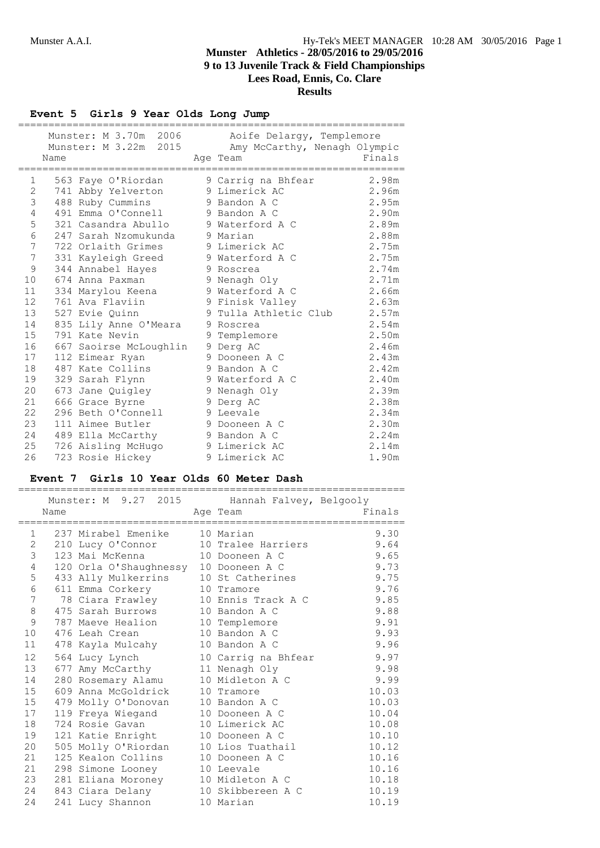# **Event 5 Girls 9 Year Olds Long Jump**

|                   |      | Munster: M 3.70m 2006<br>Munster: M 3.22m 2015 |   | Aoife Delargy, Templemore<br>Amy McCarthy, Nenagh Olympic | Finals |
|-------------------|------|------------------------------------------------|---|-----------------------------------------------------------|--------|
|                   | Name |                                                |   | Age Team                                                  |        |
| 1                 |      | 563 Faye O'Riordan                             |   | 9 Carrig na Bhfear                                        | 2.98m  |
| 2                 |      | 741 Abby Yelverton                             |   | 9 Limerick AC                                             | 2.96m  |
| 3                 |      | 488 Ruby Cummins                               |   | 9 Bandon A C                                              | 2.95m  |
| 4                 |      | 491 Emma O'Connell                             |   | 9 Bandon A C                                              | 2.90m  |
| 5                 |      | 321 Casandra Abullo                            |   | 9 Waterford A C                                           | 2.89m  |
| 6                 |      | 247 Sarah Nzomukunda                           |   | 9 Marian                                                  | 2.88m  |
| 7                 |      | 722 Orlaith Grimes                             |   | 9 Limerick AC                                             | 2.75m  |
| 7                 |      | 331 Kayleigh Greed                             |   | 9 Waterford A C                                           | 2.75m  |
| 9                 |      | 344 Annabel Hayes                              |   | 9 Roscrea                                                 | 2.74m  |
| 10                |      | 674 Anna Paxman                                |   | 9 Nenagh Oly                                              | 2.71m  |
| 11                |      | 334 Marylou Keena                              |   | 9 Waterford A C                                           | 2.66m  |
| $12 \overline{ }$ |      | 761 Ava Flaviin                                |   | 9 Finisk Valley                                           | 2.63m  |
| 13                |      | 527 Evie Quinn                                 | 9 | Tulla Athletic Club                                       | 2.57m  |
| 14                |      | 835 Lily Anne O'Meara                          |   | 9 Roscrea                                                 | 2.54m  |
| 15                |      | 791 Kate Nevin                                 |   | 9 Templemore                                              | 2.50m  |
| 16                |      | 667 Saoirse McLoughlin                         |   | 9 Derg AC                                                 | 2.46m  |
| 17                |      | 112 Eimear Ryan                                |   | 9 Dooneen A C                                             | 2.43m  |
| 18                |      | 487 Kate Collins                               |   | 9 Bandon A C                                              | 2.42m  |
| 19                |      | 329 Sarah Flynn                                |   | 9 Waterford A C                                           | 2.40m  |
| 20                |      | 673 Jane Quigley                               |   | 9 Nenagh Oly                                              | 2.39m  |
| 21                |      | 666 Grace Byrne                                |   | 9 Derg AC                                                 | 2.38m  |
| 22                |      | 296 Beth O'Connell                             |   | 9 Leevale                                                 | 2.34m  |
| 23                |      | 111 Aimee Butler                               |   | 9 Dooneen A C                                             | 2.30m  |
| 24                |      | 489 Ella McCarthy                              |   | 9 Bandon A C                                              | 2.24m  |
| 25                |      | 726 Aisling McHugo                             |   | 9 Limerick AC                                             | 2.14m  |
| 26                |      | 723 Rosie Hickey                               |   | 9 Limerick AC                                             | 1.90m  |

### **Event 7 Girls 10 Year Olds 60 Meter Dash**

|                |      | Munster: M 9.27 2015 Hannah Falvey, Belgooly |                     |        |
|----------------|------|----------------------------------------------|---------------------|--------|
|                | Name |                                              | Age Team            | Finals |
|                |      |                                              |                     |        |
| $\mathbf{1}$   |      | 237 Mirabel Emenike     10 Marian            |                     | 9.30   |
| $\mathbf{2}$   |      | 210 Lucy O'Connor                            | 10 Tralee Harriers  | 9.64   |
| 3              |      | 123 Mai McKenna 10 Dooneen A C               |                     | 9.65   |
| 4              |      | 120 Orla O'Shaughnessy 10 Dooneen A C        |                     | 9.73   |
| 5              |      | 433 Ally Mulkerrins 10 St Catherines         |                     | 9.75   |
| 6              |      | 611 Emma Corkery 10 Tramore                  |                     | 9.76   |
| $\overline{7}$ |      | 78 Ciara Frawley                             | 10 Ennis Track A C  | 9.85   |
| $8\,$          |      | 475 Sarah Burrows 10 Bandon A C              |                     | 9.88   |
| 9              |      | 787 Maeve Healion 10 Templemore              |                     | 9.91   |
| 10             |      | 476 Leah Crean                               | 10 Bandon A C       | 9.93   |
| 11             |      | 478 Kayla Mulcahy                            | 10 Bandon A C       | 9.96   |
| 12             |      | 564 Lucy Lynch                               | 10 Carrig na Bhfear | 9.97   |
| 13             |      | 677 Amy McCarthy                             | 11 Nenagh Oly       | 9.98   |
| 14             |      | 280 Rosemary Alamu                           | 10 Midleton A C     | 9.99   |
| 15             |      | 609 Anna McGoldrick                          | 10 Tramore          | 10.03  |
| 15             |      | 479 Molly O'Donovan                          | 10 Bandon A C       | 10.03  |
| 17             |      | 119 Freya Wiegand                            | 10 Dooneen A C      | 10.04  |
| 18             |      | 724 Rosie Gavan                              | 10 Limerick AC      | 10.08  |
| 19             |      | 121 Katie Enright                            | 10 Dooneen A C      | 10.10  |
| 20             |      | 505 Molly O'Riordan                          | 10 Lios Tuathail    | 10.12  |
| 21             |      | 125 Kealon Collins                           | 10 Dooneen A C      | 10.16  |
| 21             |      | 298 Simone Looney                            | 10 Leevale          | 10.16  |
| 23             |      | 281 Eliana Moroney 10 Midleton A C           |                     | 10.18  |
| 24             |      | 843 Ciara Delany                             | 10 Skibbereen A C   | 10.19  |
| 24             |      | 241 Lucy Shannon                             | 10 Marian           | 10.19  |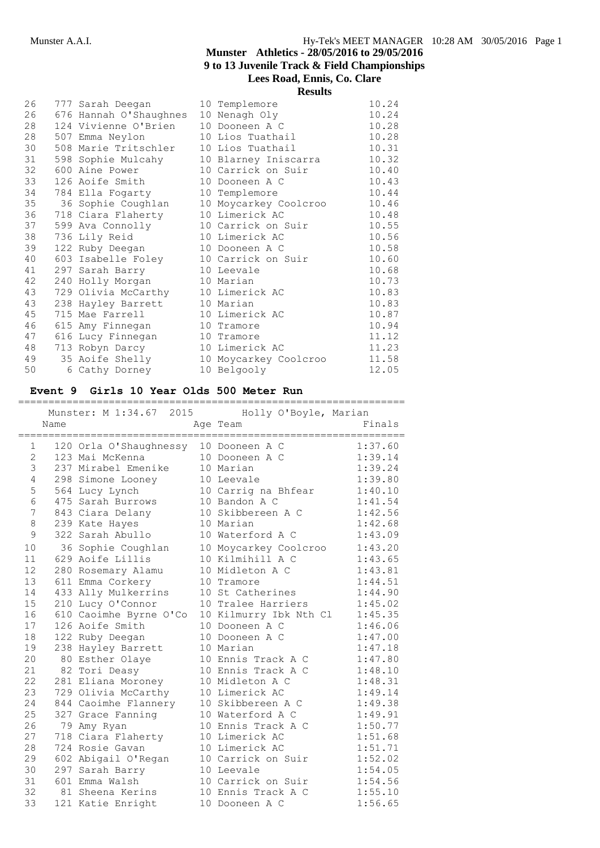|    |                                       | <b>Results</b>                                |       |
|----|---------------------------------------|-----------------------------------------------|-------|
| 26 | 777 Sarah Deegan                      | 10 Templemore                                 | 10.24 |
| 26 | 676 Hannah O'Shaughnes 10 Nenagh Oly  |                                               | 10.24 |
| 28 | 124 Vivienne O'Brien                  | 10 Dooneen A C                                | 10.28 |
| 28 | 507 Emma Neylon                       | 10 Lios Tuathail                              | 10.28 |
| 30 | 508 Marie Tritschler                  | 10 Lios Tuathail                              | 10.31 |
| 31 |                                       | 598 Sophie Mulcahy 10 Blarney Iniscarra       | 10.32 |
| 32 |                                       | 600 Aine Power 10 Carrick on Suir             | 10.40 |
| 33 | 126 Aoife Smith 10 Dooneen A C        |                                               | 10.43 |
| 34 | 784 Ella Fogarty 10 Templemore        |                                               | 10.44 |
| 35 |                                       | 36 Sophie Coughlan      10 Moycarkey Coolcroo | 10.46 |
| 36 | 718 Ciara Flaherty 10 Limerick AC     |                                               | 10.48 |
| 37 | 599 Ava Connolly 10 Carrick on Suir   |                                               | 10.55 |
| 38 | 736 Lily Reid 10 Limerick AC          |                                               | 10.56 |
| 39 | 122 Ruby Deegan 10 Dooneen A C        |                                               | 10.58 |
| 40 | 603 Isabelle Foley 10 Carrick on Suir |                                               | 10.60 |
| 41 | 297 Sarah Barry 10 Leevale            |                                               | 10.68 |
| 42 | 240 Holly Morgan 10 Marian            |                                               | 10.73 |
| 43 | 729 Olivia McCarthy 10 Limerick AC    |                                               | 10.83 |
| 43 | 238 Hayley Barrett 10 Marian          |                                               | 10.83 |
| 45 | 715 Mae Farrell 10 Limerick AC        |                                               | 10.87 |
| 46 | 615 Amy Finnegan                      | 10 Tramore                                    | 10.94 |
| 47 | 616 Lucy Finnegan 10 Tramore          |                                               | 11.12 |
| 48 | 713 Robyn Darcy                       | 10 Limerick AC                                | 11.23 |
| 49 |                                       | 35 Aoife Shelly 10 Moycarkey Coolcroo         | 11.58 |
| 50 | 6 Cathy Dorney                        | 10 Belgooly                                   | 12.05 |

# **Event 9 Girls 10 Year Olds 500 Meter Run**

|                       |      | Munster: M 1:34.67 2015 Holly O'Boyle, Marian |                        |         |
|-----------------------|------|-----------------------------------------------|------------------------|---------|
|                       | Name |                                               | Age Team               | Finals  |
|                       |      |                                               |                        |         |
|                       |      | 1 120 Orla O'Shaughnessy 10 Dooneen A C       |                        | 1:37.60 |
| $\mathbf{2}^{\prime}$ |      | 123 Mai McKenna                               | 10 Dooneen A C         | 1:39.14 |
| 3                     |      | 237 Mirabel Emenike                           | 10 Marian              | 1:39.24 |
| 4                     |      | 298 Simone Looney                             | 10 Leevale             | 1:39.80 |
| 5                     |      | 564 Lucy Lynch                                | 10 Carrig na Bhfear    | 1:40.10 |
| 6                     |      | 475 Sarah Burrows                             | 10 Bandon A C          | 1:41.54 |
| 7                     |      | 843 Ciara Delany                              | 10 Skibbereen A C      | 1:42.56 |
| 8                     |      | 239 Kate Hayes                                | 10 Marian              | 1:42.68 |
| 9                     |      | 322 Sarah Abullo                              | 10 Waterford A C       | 1:43.09 |
| 10                    |      | 36 Sophie Coughlan                            | 10 Moycarkey Coolcroo  | 1:43.20 |
| 11                    |      | 629 Aoife Lillis                              | 10 Kilmihill A C       | 1:43.65 |
| 12 <sup>°</sup>       |      | 280 Rosemary Alamu                            | 10 Midleton A C        | 1:43.81 |
| 13                    |      | 611 Emma Corkery                              | 10 Tramore             | 1:44.51 |
| 14                    |      | 433 Ally Mulkerrins                           | 10 St Catherines       | 1:44.90 |
| 15                    |      | 210 Lucy O'Connor                             | 10 Tralee Harriers     | 1:45.02 |
| 16                    |      | 610 Caoimhe Byrne O'Co                        | 10 Kilmurry Ibk Nth Cl | 1:45.35 |
| 17                    |      | 126 Aoife Smith                               | 10 Dooneen A C         | 1:46.06 |
| 18                    |      | 122 Ruby Deegan                               | 10 Dooneen A C         | 1:47.00 |
| 19                    |      | 238 Hayley Barrett                            | 10 Marian              | 1:47.18 |
| 20                    |      | 80 Esther Olaye                               | 10 Ennis Track A C     | 1:47.80 |
| 21                    |      | 82 Tori Deasy                                 | 10 Ennis Track A C     | 1:48.10 |
| 22                    |      | 281 Eliana Moroney                            | 10 Midleton A C        | 1:48.31 |
| 23                    |      | 729 Olivia McCarthy                           | 10 Limerick AC         | 1:49.14 |
| 24                    |      | 844 Caoimhe Flannery                          | 10 Skibbereen A C      | 1:49.38 |
| 25                    |      | 327 Grace Fanning                             | 10 Waterford A C       | 1:49.91 |
| 26                    |      | 79 Amy Ryan                                   | 10 Ennis Track A C     | 1:50.77 |
| 27                    |      | 718 Ciara Flaherty                            | 10 Limerick AC         | 1:51.68 |
| 28                    |      | 724 Rosie Gavan                               | 10 Limerick AC         | 1:51.71 |
| 29                    |      | 602 Abigail O'Regan                           | 10 Carrick on Suir     | 1:52.02 |
| 30                    |      | 297 Sarah Barry                               | 10 Leevale             | 1:54.05 |
| 31                    |      | 601 Emma Walsh                                | 10 Carrick on Suir     | 1:54.56 |
| 32                    |      | 81 Sheena Kerins                              | 10 Ennis Track A C     | 1:55.10 |
| 33                    |      | 121 Katie Enright                             | 10 Dooneen A C         | 1:56.65 |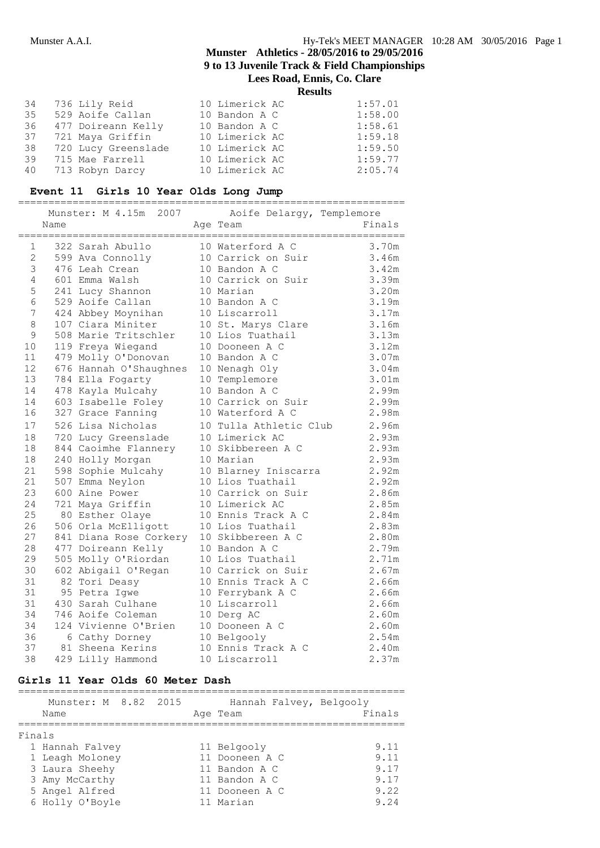# **Munster Athletics - 28/05/2016 to 29/05/2016 9 to 13 Juvenile Track & Field Championships**

**Lees Road, Ennis, Co. Clare**

**Results**

|  | 34 736 Lily Reid       | 10 Limerick AC | 1:57.01 |
|--|------------------------|----------------|---------|
|  | 35 529 Aoife Callan    | 10 Bandon A C  | 1:58.00 |
|  | 36 477 Doireann Kelly  | 10 Bandon A C  | 1:58.61 |
|  | 37 721 Maya Griffin    | 10 Limerick AC | 1:59.18 |
|  | 38 720 Lucy Greenslade | 10 Limerick AC | 1:59.50 |
|  | 39 715 Mae Farrell     | 10 Limerick AC | 1:59.77 |
|  | 40 713 Robyn Darcy     | 10 Limerick AC | 2:05.74 |

# **Event 11 Girls 10 Year Olds Long Jump**

|                |      | Munster: M 4.15m 2007  | Aoife Delargy, Templemore |        |
|----------------|------|------------------------|---------------------------|--------|
|                | Name |                        | Age Team                  | Finals |
|                |      |                        |                           |        |
| $\mathbf{1}$   |      | 322 Sarah Abullo       | 10 Waterford A C          | 3.70m  |
| $\overline{2}$ |      | 599 Ava Connolly       | 10 Carrick on Suir        | 3.46m  |
| 3              |      | 476 Leah Crean         | 10 Bandon A C             | 3.42m  |
| 4              |      | 601 Emma Walsh         | 10 Carrick on Suir        | 3.39m  |
| 5              |      | 241 Lucy Shannon       | 10 Marian                 | 3.20m  |
| 6              |      | 529 Aoife Callan       | 10 Bandon A C             | 3.19m  |
| 7              |      | 424 Abbey Moynihan     | 10 Liscarroll             | 3.17m  |
| 8              |      | 107 Ciara Miniter      | 10 St. Marys Clare        | 3.16m  |
| 9              |      | 508 Marie Tritschler   | 10 Lios Tuathail          | 3.13m  |
| 10             |      | 119 Freya Wiegand      | 10 Dooneen A C            | 3.12m  |
| 11             |      | 479 Molly O'Donovan    | 10 Bandon A C             | 3.07m  |
| 12             |      | 676 Hannah O'Shaughnes | 10 Nenagh Oly             | 3.04m  |
| 13             |      | 784 Ella Fogarty       | 10 Templemore             | 3.01m  |
| 14             |      | 478 Kayla Mulcahy      | 10 Bandon A C             | 2.99m  |
| 14             |      | 603 Isabelle Foley     | 10 Carrick on Suir        | 2.99m  |
| 16             |      | 327 Grace Fanning      | 10 Waterford A C          | 2.98m  |
| 17             |      | 526 Lisa Nicholas      | 10 Tulla Athletic Club    | 2.96m  |
| 18             |      | 720 Lucy Greenslade    | 10 Limerick AC            | 2.93m  |
| 18             |      | 844 Caoimhe Flannery   | 10 Skibbereen A C         | 2.93m  |
| 18             |      | 240 Holly Morgan       | 10 Marian                 | 2.93m  |
| 21             |      | 598 Sophie Mulcahy     | 10 Blarney Iniscarra      | 2.92m  |
| 21             |      | 507 Emma Neylon        | 10 Lios Tuathail          | 2.92m  |
| 23             |      | 600 Aine Power         | 10 Carrick on Suir        | 2.86m  |
| 24             |      | 721 Maya Griffin       | 10 Limerick AC            | 2.85m  |
| 25             |      | 80 Esther Olaye        | 10 Ennis Track A C        | 2.84m  |
| 26             |      | 506 Orla McElligott    | 10 Lios Tuathail          | 2.83m  |
| 27             |      | 841 Diana Rose Corkery | 10 Skibbereen A C         | 2.80m  |
| 28             |      | 477 Doireann Kelly     | 10 Bandon A C             | 2.79m  |
| 29             |      | 505 Molly O'Riordan    | 10 Lios Tuathail          | 2.71m  |
| 30             |      | 602 Abigail O'Regan    | 10 Carrick on Suir        | 2.67m  |
| 31             |      | 82 Tori Deasy          | 10 Ennis Track A C        | 2.66m  |
| 31             |      | 95 Petra Igwe          | 10 Ferrybank A C          | 2.66m  |
| 31             |      | 430 Sarah Culhane      | 10 Liscarroll             | 2.66m  |
| 34             |      | 746 Aoife Coleman      | 10 Derg AC                | 2.60m  |
| 34             |      | 124 Vivienne O'Brien   | 10 Dooneen A C            | 2.60m  |
| 36             |      | 6 Cathy Dorney         | 10 Belgooly               | 2.54m  |
| 37             |      | 81 Sheena Kerins       | 10 Ennis Track A C        | 2.40m  |
| 38             |      | 429 Lilly Hammond      | 10 Liscarroll             | 2.37m  |

# **Girls 11 Year Olds 60 Meter Dash**

|        | Munster: M 8.82 2015<br>Name                        |  | Hannah Falvey, Belgooly<br>Age Team          | Finals               |
|--------|-----------------------------------------------------|--|----------------------------------------------|----------------------|
| Finals | 1 Hannah Falvey                                     |  | 11 Belgooly                                  | 9.11                 |
|        | 1 Leagh Moloney<br>3 Laura Sheehy                   |  | 11 Dooneen A C<br>11 Bandon A C              | 9.11<br>9.17         |
|        | 3 Amy McCarthy<br>5 Angel Alfred<br>6 Holly O'Boyle |  | 11 Bandon A C<br>11 Dooneen A C<br>11 Marian | 9.17<br>9.22<br>9.24 |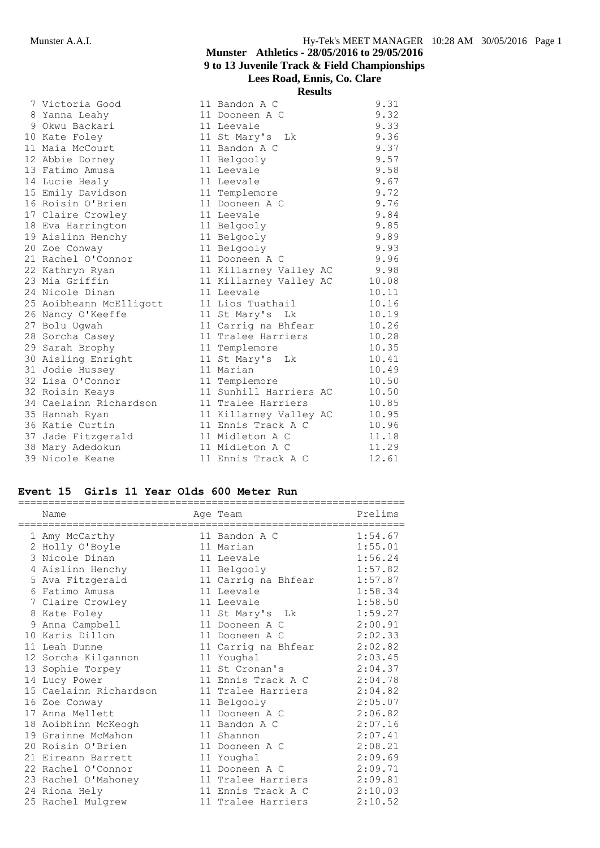|                         | Results                |       |
|-------------------------|------------------------|-------|
| 7 Victoria Good         | 11 Bandon A C          | 9.31  |
| 8 Yanna Leahy           | 11 Dooneen A C         | 9.32  |
| 9 Okwu Backari          | 11 Leevale             | 9.33  |
| 10 Kate Foley           | 11 St Mary's Lk        | 9.36  |
| 11 Maia McCourt         | 11 Bandon A C          | 9.37  |
| 12 Abbie Dorney         | 11 Belgooly            | 9.57  |
| 13 Fatimo Amusa         | 11 Leevale             | 9.58  |
| 14 Lucie Healy          | 11 Leevale             | 9.67  |
| 15 Emily Davidson       | 11 Templemore          | 9.72  |
| 16 Roisin O'Brien       | 11 Dooneen A C         | 9.76  |
| 17 Claire Crowley       | 11 Leevale             | 9.84  |
| 18 Eva Harrington       | 11 Belgooly            | 9.85  |
| 19 Aislinn Henchy       | 11 Belgooly            | 9.89  |
| 20 Zoe Conway           | 11 Belgooly            | 9.93  |
| 21 Rachel O'Connor      | 11 Dooneen A C         | 9.96  |
| 22 Kathryn Ryan         | 11 Killarney Valley AC | 9.98  |
| 23 Mia Griffin          | 11 Killarney Valley AC | 10.08 |
| 24 Nicole Dinan         | 11 Leevale             | 10.11 |
| 25 Aoibheann McElligott | 11 Lios Tuathail       | 10.16 |
| 26 Nancy O'Keeffe       | 11 St Mary's Lk        | 10.19 |
| 27 Bolu Ugwah           | 11 Carrig na Bhfear    | 10.26 |
| 28 Sorcha Casey         | 11 Tralee Harriers     | 10.28 |
| 29 Sarah Brophy         | 11 Templemore          | 10.35 |
| 30 Aisling Enright      | 11 St Mary's<br>Lk     | 10.41 |
| 31 Jodie Hussey         | 11 Marian              | 10.49 |
| 32 Lisa O'Connor        | 11 Templemore          | 10.50 |
| 32 Roisin Keays         | 11 Sunhill Harriers AC | 10.50 |
| 34 Caelainn Richardson  | 11 Tralee Harriers     | 10.85 |
| 35 Hannah Ryan          | 11 Killarney Valley AC | 10.95 |
| 36 Katie Curtin         | 11 Ennis Track A C     | 10.96 |
| 37 Jade Fitzgerald      | 11 Midleton A C        | 11.18 |
| 38 Mary Adedokun        | 11 Midleton A C        | 11.29 |
| 39 Nicole Keane         | 11 Ennis Track A C     | 12.61 |

# **Event 15 Girls 11 Year Olds 600 Meter Run**

| Name                   | Age Team            | Prelims |
|------------------------|---------------------|---------|
| 1 Amy McCarthy         | 11 Bandon A C       | 1:54.67 |
| 2 Holly O'Boyle        | 11 Marian           | 1:55.01 |
| 3 Nicole Dinan         | 11 Leevale          | 1:56.24 |
| 4 Aislinn Henchy       | 11 Belgooly         | 1:57.82 |
| 5 Ava Fitzgerald       | 11 Carrig na Bhfear | 1:57.87 |
| 6 Fatimo Amusa         | 11 Leevale          | 1:58.34 |
| 7 Claire Crowley       | 11 Leevale          | 1:58.50 |
| 8 Kate Foley           | 11 St Mary's Lk     | 1:59.27 |
| 9 Anna Campbell        | 11 Dooneen A C      | 2:00.91 |
| 10 Karis Dillon        | 11 Dooneen A C      | 2:02.33 |
| 11 Leah Dunne          | 11 Carrig na Bhfear | 2:02.82 |
| 12 Sorcha Kilgannon    | 11 Youghal          | 2:03.45 |
| 13 Sophie Torpey       | 11 St Cronan's      | 2:04.37 |
| 14 Lucy Power          | 11 Ennis Track A C  | 2:04.78 |
| 15 Caelainn Richardson | 11 Tralee Harriers  | 2:04.82 |
| 16 Zoe Conway          | 11 Belgooly         | 2:05.07 |
| 17 Anna Mellett        | 11 Dooneen A C      | 2:06.82 |
| 18 Aoibhinn McKeogh    | 11 Bandon A C       | 2:07.16 |
| 19 Grainne McMahon     | 11 Shannon          | 2:07.41 |
| 20 Roisin O'Brien      | 11 Dooneen A C      | 2:08.21 |
| 21 Eireann Barrett     | 11 Youghal          | 2:09.69 |
| 22 Rachel O'Connor     | 11 Dooneen A C      | 2:09.71 |
| 23 Rachel O'Mahoney    | 11 Tralee Harriers  | 2:09.81 |
| 24 Riona Hely          | 11 Ennis Track A C  | 2:10.03 |
| 25 Rachel Mulgrew      | 11 Tralee Harriers  | 2:10.52 |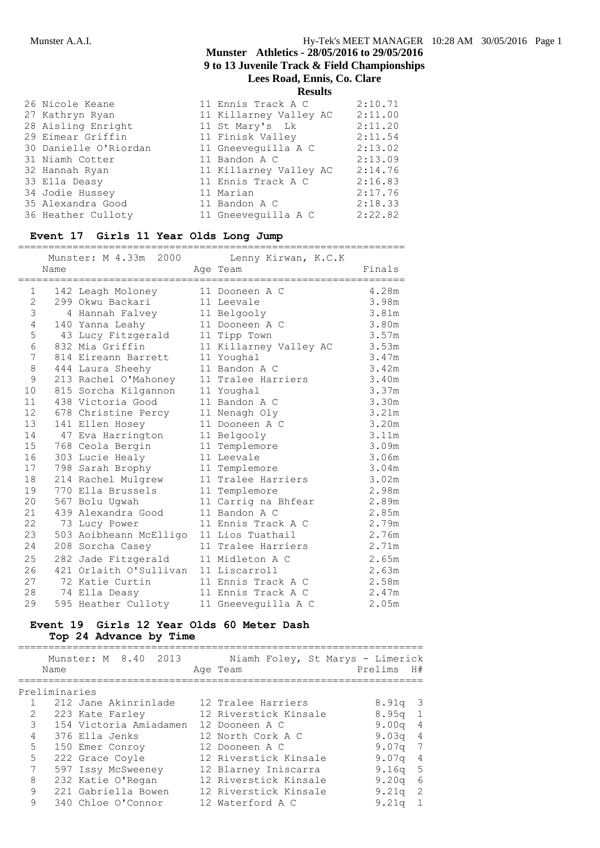|                       | 1000010                |         |
|-----------------------|------------------------|---------|
| 26 Nicole Keane       | 11 Ennis Track A C     | 2:10.71 |
| 27 Kathryn Ryan       | 11 Killarney Valley AC | 2:11.00 |
| 28 Aisling Enright    | 11 St Mary's Lk        | 2:11.20 |
| 29 Eimear Griffin     | 11 Finisk Valley       | 2:11.54 |
| 30 Danielle O'Riordan | 11 Gneeveguilla A C    | 2:13.02 |
| 31 Niamh Cotter       | 11 Bandon A C          | 2:13.09 |
| 32 Hannah Ryan        | 11 Killarney Valley AC | 2:14.76 |
| 33 Ella Deasy         | 11 Ennis Track A C     | 2:16.83 |
| 34 Jodie Hussey       | 11 Marian              | 2:17.76 |
| 35 Alexandra Good     | 11 Bandon A C          | 2:18.33 |
| 36 Heather Culloty    | 11 Gneeveguilla A C    | 2:22.82 |
|                       |                        |         |

### **Event 17 Girls 11 Year Olds Long Jump**

|                 |      | Munster: M 4.33m 2000                   | Lenny Kirwan, K.C.K    |        |
|-----------------|------|-----------------------------------------|------------------------|--------|
|                 | Name |                                         | Age Team               | Finals |
| 1               |      | 142 Leagh Moloney                       | 11 Dooneen A C         | 4.28m  |
| 2               |      | 299 Okwu Backari                        | 11 Leevale             | 3.98m  |
| 3               |      | 4 Hannah Falvey                         | 11 Belgooly            | 3.81m  |
| 4               |      | 140 Yanna Leahy                         | 11 Dooneen A C         | 3.80m  |
| 5               |      | 43 Lucy Fitzgerald 11 Tipp Town         |                        | 3.57m  |
| 6               |      | 832 Mia Griffin                         | 11 Killarney Valley AC | 3.53m  |
| 7               |      | 814 Eireann Barrett                     | 11 Youghal             | 3.47m  |
| $\,8\,$         |      | 444 Laura Sheehy                        | 11 Bandon A C          | 3.42m  |
| 9               |      | 213 Rachel O'Mahoney                    | 11 Tralee Harriers     | 3.40m  |
| 10              |      | 815 Sorcha Kilgannon                    | 11 Youghal             | 3.37m  |
| 11              |      | 438 Victoria Good                       | 11 Bandon A C          | 3.30m  |
| 12 <sup>2</sup> |      | 678 Christine Percy                     | 11 Nenagh Oly          | 3.21m  |
| 13              |      | 141 Ellen Hosey                         | 11 Dooneen A C         | 3.20m  |
| 14              |      | 47 Eva Harrington                       | 11 Belgooly            | 3.11m  |
| 15              |      | 768 Ceola Bergin                        | 11 Templemore          | 3.09m  |
| 16              |      | 303 Lucie Healy                         | 11 Leevale             | 3.06m  |
| 17              |      | 798 Sarah Brophy                        | 11 Templemore          | 3.04m  |
| 18              |      | 214 Rachel Mulgrew                      | 11 Tralee Harriers     | 3.02m  |
| 19              |      | 770 Ella Brussels                       | 11 Templemore          | 2.98m  |
| 20              |      | 567 Bolu Uqwah                          | 11 Carrig na Bhfear    | 2.89m  |
| 21              |      | 439 Alexandra Good                      | 11 Bandon A C          | 2.85m  |
| 22              |      | 73 Lucy Power                           | 11 Ennis Track A C     | 2.79m  |
| 23              |      | 503 Aoibheann McElligo 11 Lios Tuathail |                        | 2.76m  |
| 24              |      | 208 Sorcha Casey                        | 11 Tralee Harriers     | 2.71m  |
| 25              |      | 282 Jade Fitzgerald                     | 11 Midleton A C        | 2.65m  |
| 26              |      | 421 Orlaith O'Sullivan 11 Liscarroll    |                        | 2.63m  |
| 27              |      | 72 Katie Curtin                         | 11 Ennis Track A C     | 2.58m  |
| 28              |      | 74 Ella Deasy                           | 11 Ennis Track A C     | 2.47m  |
| 29              |      | 595 Heather Culloty                     | 11 Gneeveguilla A C    | 2.05m  |

### **Event 19 Girls 12 Year Olds 60 Meter Dash Top 24 Advance by Time**

|   | Name          | Munster: M 8.40 2013   | Niamh Foley, St Marys - Limerick<br>Age Team | Prelims           | H#                      |
|---|---------------|------------------------|----------------------------------------------|-------------------|-------------------------|
|   | Preliminaries |                        |                                              |                   |                         |
|   |               | 212 Jane Akinrinlade   | 12 Tralee Harriers                           | 8.91q             | $\overline{\mathbf{3}}$ |
| 2 |               | 223 Kate Farley        | 12 Riverstick Kinsale                        | 8.95 <sub>q</sub> | $\mathbf{1}$            |
| 3 |               | 154 Victoria Amiadamen | 12 Dooneen A C                               | 9.00 <sub>q</sub> | $\overline{4}$          |
| 4 |               | 376 Ella Jenks         | 12 North Cork A C                            | 9.03 <sub>q</sub> | $\overline{4}$          |
| 5 |               | 150 Emer Conroy        | 12 Dooneen A C                               | 9.07a             | 7                       |
| 5 |               | 222 Grace Coyle        | 12 Riverstick Kinsale                        | 9.07 <sub>q</sub> | 4                       |
| 7 |               | 597 Issy McSweeney     | 12 Blarney Iniscarra                         | $9.16\sigma$      | $-5$                    |
| 8 |               | 232 Katie O'Regan      | 12 Riverstick Kinsale                        | 9.20q             | 6                       |
| 9 |               | 221 Gabriella Bowen    | 12 Riverstick Kinsale                        | 9.21q             | $\overline{2}$          |
| 9 |               | 340 Chloe O'Connor     | 12 Waterford A C                             | 9.21 <sub>q</sub> | $\mathbf{1}$            |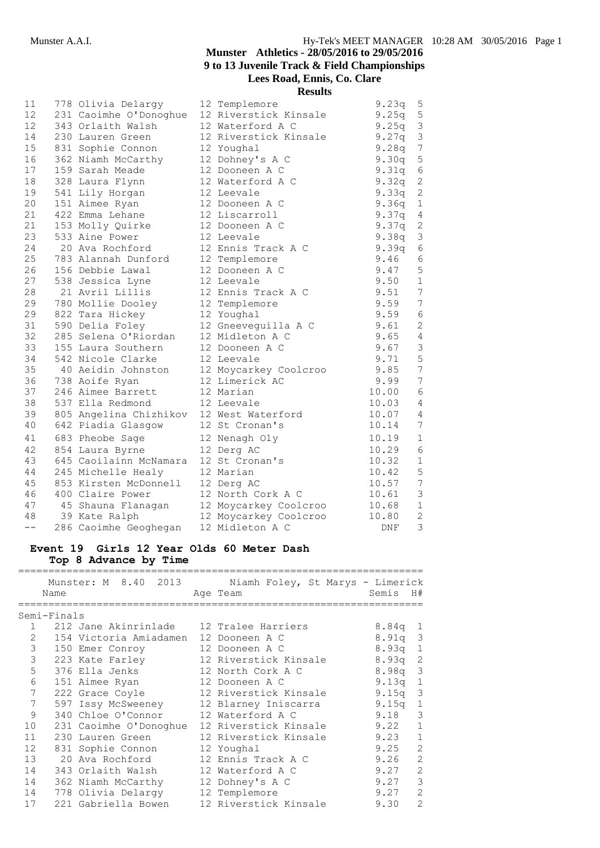**Results**

| 11    | 778 Olivia Delargy                                                        | 12 Templemore         | 9.23q      | 5                |
|-------|---------------------------------------------------------------------------|-----------------------|------------|------------------|
| 12    | 231 Caoimhe O'Donoghue                                                    | 12 Riverstick Kinsale | 9.25q      | $\mathsf S$      |
| 12    | 343 Orlaith Walsh                                                         | 12 Waterford A C      | 9.25q      | $\mathfrak{Z}$   |
| 14    | 230 Lauren Green                                                          | 12 Riverstick Kinsale | 9.27q      | $\mathfrak{Z}$   |
| 15    | 831 Sophie Connon                                                         | 12 Youghal            | 9.28q      | $\overline{7}$   |
| 16    | 362 Niamh McCarthy                                                        | 12 Dohney's A C       | 9.30q      | $\mathsf S$      |
| 17    | 159 Sarah Meade                                                           | 12 Dooneen A C        | 9.31q      | $\epsilon$       |
| 18    | 328 Laura Flynn                                                           | 12 Waterford A C      | 9.32q      | $\sqrt{2}$       |
| 19    | 541 Lily Horgan                                                           | 12 Leevale            | 9.33q      | $\sqrt{2}$       |
| 20    | 151 Aimee Ryan                                                            | 12 Dooneen A C        | 9.36q      | $1\,$            |
| 21    | 422 Emma Lehane                                                           | 12 Liscarroll         | 9.37q      | $\overline{4}$   |
| 21    | 153 Molly Quirke                                                          | 12 Dooneen A C        | 9.37q      | $\mathbf{2}$     |
| 23    | 533 Aine Power                                                            | 12 Leevale            | 9.38q      | $\mathfrak{Z}$   |
| 24    | 20 Ava Rochford                                                           | 12 Ennis Track A C    | 9.39q      | $\sqrt{6}$       |
| 25    | 783 Alannah Dunford 12 Templemore                                         |                       | 9.46       | $\sqrt{6}$       |
| 26    | 156 Debbie Lawal                                                          | 12 Dooneen A C        | 9.47       | $\mathsf S$      |
| 27    | 538 Jessica Lyne                                                          | 12 Leevale            | 9.50       | $\mathbf 1$      |
| 28    | 21 Avril Lillis                                                           | 12 Ennis Track A C    | 9.51       | $7\phantom{.0}$  |
| 29    | 780 Mollie Dooley                                                         | 12 Templemore         | 9.59       | $\overline{7}$   |
| 29    | 822 Tara Hickey                                                           | 12 Youghal            | 9.59       | $\epsilon$       |
| 31    | 590 Delia Foley                                                           | 12 Gneeveguilla A C   | 9.61       | $\overline{c}$   |
| 32    | 285 Selena O'Riordan                                                      | 12 Midleton A C       | 9.65       | $\overline{4}$   |
| 33    | 155 Laura Southern                                                        | 12 Dooneen A C        | 9.67       | $\mathfrak{Z}$   |
| 34    | 542 Nicole Clarke                                                         | 12 Leevale            | 9.71       | $\mathsf S$      |
| 35    | 40 Aeidin Johnston 12 Moycarkey Coolcroo<br>738 Aoife Ryan 12 Limerick AC |                       | 9.85       | $\boldsymbol{7}$ |
| 36    |                                                                           |                       | 9.99       | $\overline{7}$   |
| 37    | 246 Aimee Barrett                                                         | 12 Marian             | 10.00      | 6                |
| 38    | 537 Ella Redmond                                                          | 12 Leevale            | 10.03      | $\overline{4}$   |
| 39    | 805 Angelina Chizhikov                                                    | 12 West Waterford     | 10.07      | $\overline{4}$   |
| 40    | 642 Piadia Glasgow                                                        | 12 St Cronan's        | 10.14      | $\overline{7}$   |
| 41    | 683 Pheobe Sage                                                           | 12 Nenagh Oly         | 10.19      | $1\,$            |
| 42    | 854 Laura Byrne                                                           | 12 Derg AC            | 10.29      | $\sqrt{6}$       |
| 43    | 645 Caoilainn McNamara                                                    | 12 St Cronan's        | 10.32      | $\mathbf 1$      |
| 44    | 245 Michelle Healy                                                        | 12 Marian             | 10.42      | $\mathbf 5$      |
| 45    | 853 Kirsten McDonnell 12 Derg AC                                          |                       | 10.57      | $\boldsymbol{7}$ |
| 46    | 400 Claire Power                                                          | 12 North Cork A C     | 10.61      | $\mathsf 3$      |
| 47    | 45 Shauna Flanagan     12 Moycarkey Coolcroo                              |                       | 10.68      | $\mathbf 1$      |
| 48    | 39 Kate Ralph                                                             | 12 Moycarkey Coolcroo | 10.80      | $\sqrt{2}$       |
| $- -$ | 286 Caoimhe Geoghegan                                                     | 12 Midleton A C       | <b>DNF</b> | 3                |

# **Event 19 Girls 12 Year Olds 60 Meter Dash**

**Top 8 Advance by Time**

|                |             | Munster: M 8.40 2013                    | Niamh Foley, St Marys - Limerick             |           |                |
|----------------|-------------|-----------------------------------------|----------------------------------------------|-----------|----------------|
|                | Name        |                                         | Age Team                                     | Semis     | H#             |
|                |             |                                         |                                              |           |                |
|                | Semi-Finals |                                         |                                              |           |                |
|                |             | 212 Jane Akinrinlade 12 Tralee Harriers |                                              | 8.84q     | 1              |
| $\overline{2}$ |             | 154 Victoria Amiadamen 12 Dooneen A C   |                                              | 8.91a     | -3             |
| 3              |             | 150 Emer Conroy                         | 12 Dooneen A C                               | $8.93q$ 1 |                |
| $\mathfrak{Z}$ |             | 223 Kate Farley                         | 12 Riverstick Kinsale                        | $8.93q$ 2 |                |
| 5              |             | 376 Ella Jenks                          | 12 North Cork A C                            | 8.98q     | 3              |
| 6              |             | 151 Aimee Ryan                          | 12 Dooneen A C                               | 9.13q     | 1              |
| 7              |             | 222 Grace Coyle                         | 12 Riverstick Kinsale                        | 9.15q     | 3              |
| 7              |             | 597 Issy McSweeney                      | 12 Blarney Iniscarra                         | 9.15q     | 1              |
| 9              |             | 340 Chloe O'Connor                      | 12 Waterford A C                             | 9.18      | 3              |
| 10             |             |                                         | 231 Caoimhe O'Donoghue 12 Riverstick Kinsale | 9.22      | $\mathbf{1}$   |
| 11             |             | 230 Lauren Green                        | 12 Riverstick Kinsale                        | 9.23      | $\mathbf{1}$   |
| 12             |             | 831 Sophie Connon                       | 12 Youghal                                   | 9.25      | $\overline{2}$ |
| 13             |             | 20 Ava Rochford                         | 12 Ennis Track A C                           | 9.26      | 2              |
| 14             |             | 343 Orlaith Walsh                       | 12 Waterford A C                             | 9.27      | 2              |
| 14             |             | 362 Niamh McCarthy                      | 12 Dohney's A C                              | 9.27      | 3              |
| 14             |             | 778 Olivia Delargy                      | 12 Templemore                                | 9.27      | 2              |
| 17             |             | 221 Gabriella Bowen                     | 12 Riverstick Kinsale                        | 9.30      | $\mathcal{D}$  |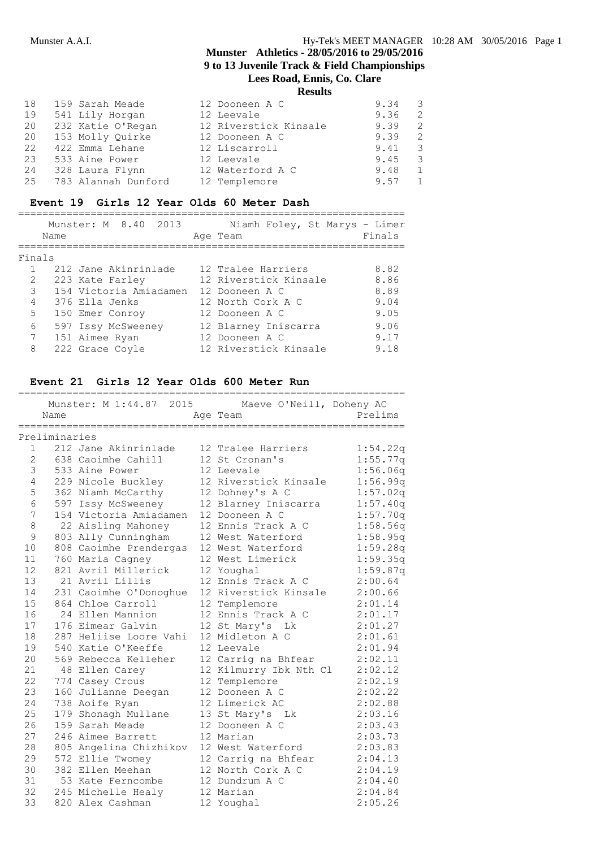**Results**

| 18 | 159 Sarah Meade     | 12 Dooneen A C        | 9.34 | 3            |
|----|---------------------|-----------------------|------|--------------|
| 19 | 541 Lily Horgan     | 12 Leevale            | 9.36 | 2            |
| 20 | 232 Katie O'Regan   | 12 Riverstick Kinsale | 9.39 | 2            |
| 20 | 153 Molly Quirke    | 12 Dooneen A C        | 9.39 | 2            |
| 22 | 422 Emma Lehane     | 12 Liscarroll         | 9.41 | 3            |
| 23 | 533 Aine Power      | 12 Leevale            | 9.45 | 3            |
| 24 | 328 Laura Flynn     | 12 Waterford A C      | 9.48 | $\mathbf{1}$ |
| 25 | 783 Alannah Dunford | 12 Templemore         | 9.57 | 1            |

# **Event 19 Girls 12 Year Olds 60 Meter Dash**

|                 | Name | Munster: M 8.40 2013   | Niamh Foley, St Marys - Limer<br>Age Team | Finals |
|-----------------|------|------------------------|-------------------------------------------|--------|
| Finals          |      |                        |                                           |        |
|                 |      | 212 Jane Akinrinlade   | 12 Tralee Harriers                        | 8.82   |
| 2               |      | 223 Kate Farley        | 12 Riverstick Kinsale                     | 8.86   |
| $\mathcal{E}$   |      | 154 Victoria Amiadamen | 12 Dooneen A C                            | 8.89   |
| 4               |      | 376 Ella Jenks         | 12 North Cork A C                         | 9.04   |
| 5               |      | 150 Emer Conroy        | 12 Dooneen A C                            | 9.05   |
| 6               |      | 597 Issy McSweeney     | 12 Blarney Iniscarra                      | 9.06   |
| $7\phantom{.0}$ |      | 151 Aimee Ryan         | 12 Dooneen A C                            | 9.17   |
| 8               |      | 222 Grace Coyle        | 12 Riverstick Kinsale                     | 9.18   |

# **Event 21 Girls 12 Year Olds 600 Meter Run**

|               | =============== |                        | Munster: M 1:44.87 2015 Maeve O'Neill, Doheny AC |          |
|---------------|-----------------|------------------------|--------------------------------------------------|----------|
|               | Name            |                        | Age Team                                         | Prelims  |
|               |                 | ===================    |                                                  |          |
|               | Preliminaries   |                        |                                                  |          |
| $\mathbf{1}$  |                 | 212 Jane Akinrinlade   | 12 Tralee Harriers                               | 1:54.22q |
| $\mathbf{2}$  |                 | 638 Caoimhe Cahill     | 12 St Cronan's                                   | 1:55.77q |
| $\mathcal{S}$ |                 | 533 Aine Power         | 12 Leevale                                       | 1:56.06q |
| 4             |                 | 229 Nicole Buckley     | 12 Riverstick Kinsale                            | 1:56.99q |
| 5             |                 | 362 Niamh McCarthy     | 12 Dohney's A C                                  | 1:57.02q |
| 6             |                 | 597 Issy McSweeney     | 12 Blarney Iniscarra                             | 1:57.40q |
| 7             |                 | 154 Victoria Amiadamen | 12 Dooneen A C                                   | 1:57.70q |
| 8             |                 | 22 Aisling Mahoney     | 12 Ennis Track A C                               | 1:58.56q |
| $\mathsf 9$   |                 | 803 Ally Cunningham    | 12 West Waterford                                | 1:58.95q |
| 10            |                 | 808 Caoimhe Prendergas | 12 West Waterford                                | 1:59.28q |
| 11            |                 | 760 Maria Cagney       | 12 West Limerick                                 | 1:59.35q |
| 12            |                 | 821 Avril Millerick    | 12 Youghal                                       | 1:59.87q |
| 13            |                 | 21 Avril Lillis        | 12 Ennis Track A C                               | 2:00.64  |
| 14            |                 | 231 Caoimhe O'Donoghue | 12 Riverstick Kinsale                            | 2:00.66  |
| 15            |                 | 864 Chloe Carroll      | 12 Templemore                                    | 2:01.14  |
| 16            |                 | 24 Ellen Mannion       | 12 Ennis Track A C                               | 2:01.17  |
| 17            |                 | 176 Eimear Galvin      | 12 St Mary's Lk                                  | 2:01.27  |
| 18            |                 | 287 Heliise Loore Vahi | 12 Midleton A C                                  | 2:01.61  |
| 19            |                 | 540 Katie O'Keeffe     | 12 Leevale                                       | 2:01.94  |
| 20            |                 | 569 Rebecca Kelleher   | 12 Carrig na Bhfear                              | 2:02.11  |
| 21            |                 | 48 Ellen Carey         | 12 Kilmurry Ibk Nth Cl                           | 2:02.12  |
| 22            |                 | 774 Casey Crous        | 12 Templemore                                    | 2:02.19  |
| 23            |                 | 160 Julianne Deegan    | 12 Dooneen A C                                   | 2:02.22  |
| 24            |                 | 738 Aoife Ryan         | 12 Limerick AC                                   | 2:02.88  |
| 25            |                 | 179 Shonagh Mullane    | 13 St Mary's Lk                                  | 2:03.16  |
| 26            |                 | 159 Sarah Meade        | 12 Dooneen A C                                   | 2:03.43  |
| 27            |                 | 246 Aimee Barrett      | 12 Marian                                        | 2:03.73  |
| 28            |                 | 805 Angelina Chizhikov | 12 West Waterford                                | 2:03.83  |
| 29            |                 | 572 Ellie Twomey       | 12 Carrig na Bhfear                              | 2:04.13  |
| 30            |                 | 382 Ellen Meehan       | 12 North Cork A C                                | 2:04.19  |
| 31            |                 | 53 Kate Ferncombe      | 12 Dundrum A C                                   | 2:04.40  |
| 32            |                 | 245 Michelle Healy     | 12 Marian                                        | 2:04.84  |
| 33            |                 | 820 Alex Cashman       | 12 Youghal                                       | 2:05.26  |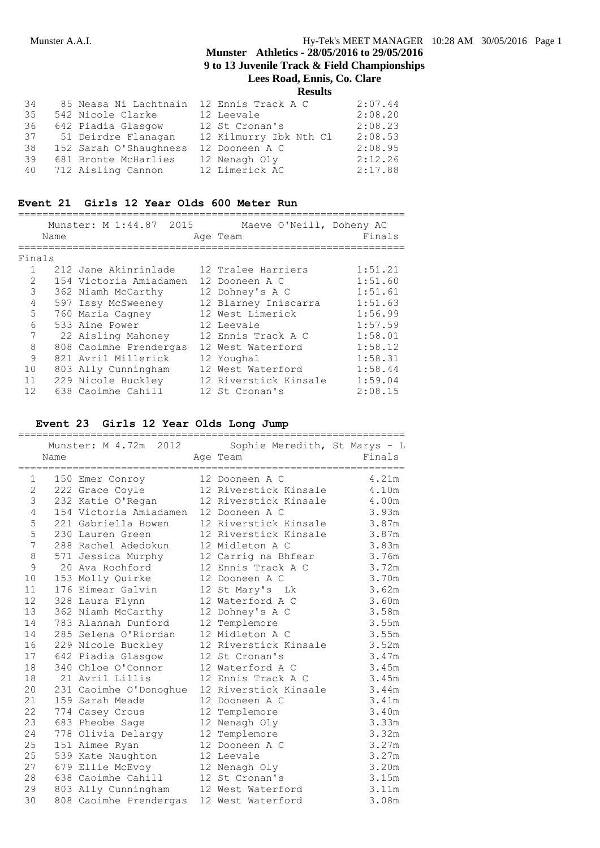| 34<br>35<br>36<br>37 | 85 Neasa Ni Lachtnain<br>542 Nicole Clarke<br>642 Piadia Glasgow<br>51 Deirdre Flanagan | 12 Ennis Track A C<br>12 Leevale<br>12 St Cronan's<br>12 Kilmurry Ibk Nth Cl | 2:07.44<br>2:08.20<br>2:08.23<br>2:08.53 |
|----------------------|-----------------------------------------------------------------------------------------|------------------------------------------------------------------------------|------------------------------------------|
| 38                   | 152 Sarah O'Shaughness                                                                  | 12 Dooneen A C                                                               | 2:08.95                                  |
| 39<br>40             | 681 Bronte McHarlies<br>712 Aisling Cannon                                              | 12 Nenagh Oly<br>12 Limerick AC                                              | 2:12.26<br>2:17.88                       |
|                      |                                                                                         |                                                                              |                                          |

# **Event 21 Girls 12 Year Olds 600 Meter Run**

|                | Name | Munster: M 1:44.87 2015 | Maeve O'Neill, Doheny AC<br>Age Team | Finals  |
|----------------|------|-------------------------|--------------------------------------|---------|
| Finals         |      |                         |                                      |         |
|                |      | 212 Jane Akinrinlade    | 12 Tralee Harriers                   | 1:51.21 |
| $\mathfrak{D}$ |      | 154 Victoria Amiadamen  | 12 Dooneen A C                       | 1:51.60 |
| 3              |      | 362 Niamh McCarthy      | 12 Dohney's A C                      | 1:51.61 |
| 4              |      | 597 Issy McSweeney      | 12 Blarney Iniscarra                 | 1:51.63 |
| 5              |      | 760 Maria Cagney        | 12 West Limerick                     | 1:56.99 |
| 6              |      | 533 Aine Power          | 12 Leevale                           | 1:57.59 |
| 7              |      | 22 Aisling Mahoney      | 12 Ennis Track A C                   | 1:58.01 |
| 8              |      | 808 Caoimhe Prendergas  | 12 West Waterford                    | 1:58.12 |
| 9              |      | 821 Avril Millerick     | 12 Youghal                           | 1:58.31 |
| 10             |      | 803 Ally Cunningham     | 12 West Waterford                    | 1:58.44 |
| 11             |      | 229 Nicole Buckley      | 12 Riverstick Kinsale                | 1:59.04 |
| 12             |      | 638 Caoimhe Cahill      | 12 St Cronan's                       | 2:08.15 |

# **Event 23 Girls 12 Year Olds Long Jump**

|              | Name |                                        | Munster: M 4.72m 2012 Sophie Meredith, St Marys - L<br>Age Team | Finals |
|--------------|------|----------------------------------------|-----------------------------------------------------------------|--------|
| 1            |      | 150 Emer Conroy                        | 12 Dooneen A C                                                  | 4.21m  |
| $\mathbf{2}$ |      | 222 Grace Coyle                        | 12 Riverstick Kinsale                                           | 4.10m  |
| 3            |      | 232 Katie O'Regan                      | 12 Riverstick Kinsale                                           | 4.00m  |
| 4            |      | 154 Victoria Amiadamen 12 Dooneen A C  |                                                                 | 3.93m  |
| 5            |      | 221 Gabriella Bowen                    | 12 Riverstick Kinsale 3.87m                                     |        |
| 5            |      | 230 Lauren Green                       | 12 Riverstick Kinsale                                           | 3.87m  |
| 7            |      | 288 Rachel Adedokun                    | 12 Midleton A C                                                 | 3.83m  |
| 8            |      | 571 Jessica Murphy 12 Carrig na Bhfear |                                                                 | 3.76m  |
| 9            |      | 20 Ava Rochford                        | 12 Ennis Track A C                                              | 3.72m  |
| 10           |      | 153 Molly Quirke                       | 12 Dooneen A C                                                  | 3.70m  |
| 11           |      | 176 Eimear Galvin                      | 12 St Mary's Lk                                                 | 3.62m  |
| 12           |      | 328 Laura Flynn                        | 12 Waterford A C                                                | 3.60m  |
| 13           |      | 362 Niamh McCarthy                     | 12 Dohney's A C                                                 | 3.58m  |
| 14           |      | 783 Alannah Dunford                    | 12 Templemore                                                   | 3.55m  |
| 14           |      | 285 Selena O'Riordan                   | 12 Midleton A C                                                 | 3.55m  |
| 16           |      | 229 Nicole Buckley                     | 12 Riverstick Kinsale                                           | 3.52m  |
| 17           |      | 642 Piadia Glasgow                     | 12 St Cronan's                                                  | 3.47m  |
| 18           |      | 340 Chloe O'Connor                     | 12 Waterford A C                                                | 3.45m  |
| 18           |      | 21 Avril Lillis                        | 12 Ennis Track A C                                              | 3.45m  |
| 20           |      | 231 Caoimhe O'Donoghue                 | 12 Riverstick Kinsale                                           | 3.44m  |
| 21           |      | 159 Sarah Meade                        | 12 Dooneen A C                                                  | 3.41m  |
| 22           |      | 774 Casey Crous                        | 12 Templemore                                                   | 3.40m  |
| 23           |      | 683 Pheobe Sage                        | 12 Nenagh Oly                                                   | 3.33m  |
| 24           |      | 778 Olivia Delargy                     | 12 Templemore                                                   | 3.32m  |
| 25           |      | 151 Aimee Ryan                         | 12 Dooneen A C                                                  | 3.27m  |
| 25           |      | 539 Kate Naughton                      | 12 Leevale                                                      | 3.27m  |
| 27           |      | 679 Ellie McEvoy                       | 12 Nenagh Oly                                                   | 3.20m  |
| 28           |      | 638 Caoimhe Cahill 12 St Cronan's      |                                                                 | 3.15m  |
| 29           |      | 803 Ally Cunningham 12 West Waterford  |                                                                 | 3.11m  |
| 30           |      | 808 Caoimhe Prendergas                 | 12 West Waterford                                               | 3.08m  |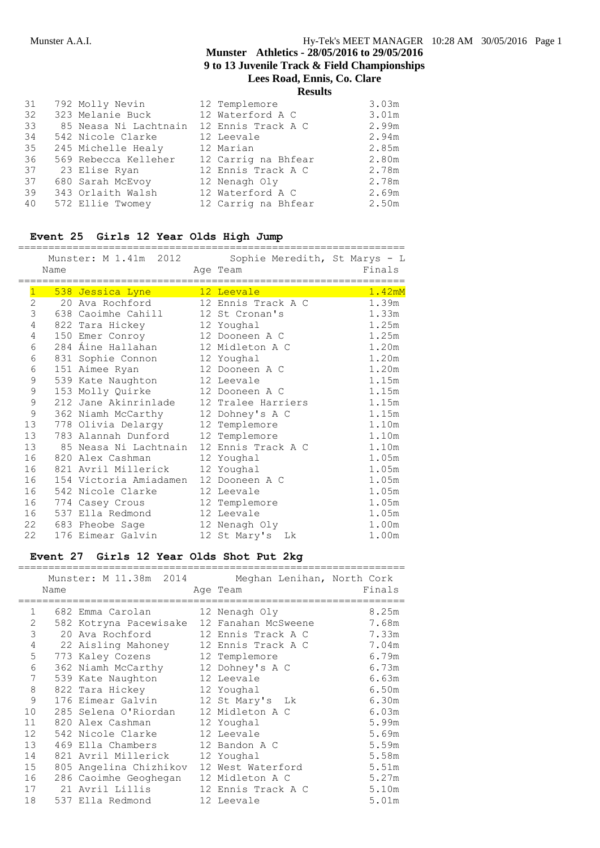|    |                       | .                   |       |
|----|-----------------------|---------------------|-------|
| 31 | 792 Molly Nevin       | 12 Templemore       | 3.03m |
| 32 | 323 Melanie Buck      | 12 Waterford A C    | 3.01m |
| 33 | 85 Neasa Ni Lachtnain | 12 Ennis Track A C  | 2.99m |
| 34 | 542 Nicole Clarke     | 12 Leevale          | 2.94m |
| 35 | 245 Michelle Healy    | 12 Marian           | 2.85m |
| 36 | 569 Rebecca Kelleher  | 12 Carrig na Bhfear | 2.80m |
| 37 | 23 Elise Ryan         | 12 Ennis Track A C  | 2.78m |
| 37 | 680 Sarah McEvoy      | 12 Nenagh Oly       | 2.78m |
| 39 | 343 Orlaith Walsh     | 12 Waterford A C    | 2.69m |
| 40 | 572 Ellie Twomey      | 12 Carrig na Bhfear | 2.50m |
|    |                       |                     |       |

# **Event 25 Girls 12 Year Olds High Jump**

|                | Name | =================================        | Munster: M 1.41m 2012 Sophie Meredith, St Marys - L<br>Age Team<br>============================= | Finals |
|----------------|------|------------------------------------------|--------------------------------------------------------------------------------------------------|--------|
| $\mathbf{1}$   |      | 538 Jessica Lyne 12 Leevale              |                                                                                                  | 1.42mM |
| $\overline{2}$ |      | 20 Ava Rochford                          | 12 Ennis Track A C                                                                               | 1.39m  |
| 3              |      | 638 Caoimhe Cahill                       | 12 St Cronan's                                                                                   | 1.33m  |
| 4              |      | 822 Tara Hickey 12 Youghal               |                                                                                                  | 1.25m  |
| 4              |      | 150 Emer Conroy 12 Dooneen A C           |                                                                                                  | 1.25m  |
| 6              |      | 284 Áine Hallahan 12 Midleton A C        |                                                                                                  | 1.20m  |
| 6              |      | 831 Sophie Connon 12 Youghal             |                                                                                                  | 1.20m  |
| 6              |      | 151 Aimee Ryan                           | 12 Dooneen A C                                                                                   | 1.20m  |
| $\mathsf 9$    |      | 539 Kate Naughton 12 Leevale             |                                                                                                  | 1.15m  |
| $\mathsf 9$    |      | 153 Molly Quirke 12 Dooneen A C          |                                                                                                  | 1.15m  |
| $\mathsf 9$    |      | 212 Jane Akinrinlade 12 Tralee Harriers  |                                                                                                  | 1.15m  |
| 9              |      | 362 Niamh McCarthy 12 Dohney's A C       |                                                                                                  | 1.15m  |
| 13             |      | 778 Olivia Delargy                       | 12 Templemore                                                                                    | 1.10m  |
| 13             |      | 783 Alannah Dunford 12 Templemore        |                                                                                                  | 1.10m  |
| 13             |      | 85 Neasa Ni Lachtnain 12 Ennis Track A C |                                                                                                  | 1.10m  |
| 16             |      | 820 Alex Cashman                         | 12 Youghal                                                                                       | 1.05m  |
| 16             |      | 821 Avril Millerick                      | 12 Youghal                                                                                       | 1.05m  |
| 16             |      | 154 Victoria Amiadamen 12 Dooneen A C    |                                                                                                  | 1.05m  |
| 16             |      | 542 Nicole Clarke 12 Leevale             |                                                                                                  | 1.05m  |
| 16             |      | 774 Casey Crous 12 Templemore            |                                                                                                  | 1.05m  |
| 16             |      | 537 Ella Redmond                         | 12 Leevale                                                                                       | 1.05m  |
| 22             |      | 683 Pheobe Sage 12 Nenagh Oly            |                                                                                                  | 1.00m  |
| 22             |      | 176 Eimear Galvin                        | 12 St Mary's<br>Lk                                                                               | 1.00m  |

# **Event 27 Girls 12 Year Olds Shot Put 2kg**

|              |      | Munster: M 11.38m 2014 Meghan Lenihan, North Cork |                     |        |
|--------------|------|---------------------------------------------------|---------------------|--------|
|              | Name |                                                   | Age Team            | Finals |
| $\mathbf{1}$ |      |                                                   | __________________  | 8.25m  |
|              |      | 682 Emma Carolan                                  | 12 Nenagh Oly       |        |
| 2            |      | 582 Kotryna Pacewisake                            | 12 Fanahan McSweene | 7.68m  |
| 3            |      | 20 Ava Rochford                                   | 12 Ennis Track A C  | 7.33m  |
| $\sqrt{4}$   |      | 22 Aisling Mahoney                                | 12 Ennis Track A C  | 7.04m  |
| 5            |      | 773 Kaley Cozens                                  | 12 Templemore       | 6.79m  |
| 6            |      | 362 Niamh McCarthy 12 Dohney's A C                |                     | 6.73m  |
| 7            |      | 539 Kate Naughton                                 | 12 Leevale          | 6.63m  |
| 8            |      | 822 Tara Hickey                                   | 12 Youghal          | 6.50m  |
| 9            |      | 176 Eimear Galvin                                 | 12 St Mary's Lk     | 6.30m  |
| 10           |      | 285 Selena O'Riordan                              | 12 Midleton A C     | 6.03m  |
| 11           |      | 820 Alex Cashman                                  | 12 Youghal          | 5.99m  |
| 12           |      | 542 Nicole Clarke 12 Leevale                      |                     | 5.69m  |
| 13           |      | 469 Ella Chambers                                 | 12 Bandon A C       | 5.59m  |
| 14           |      | 821 Avril Millerick                               | 12 Youghal          | 5.58m  |
| 15           |      | 805 Angelina Chizhikov                            | 12 West Waterford   | 5.51m  |
| 16           |      | 286 Caoimhe Geoghegan                             | 12 Midleton A C     | 5.27m  |
| 17           |      | 21 Avril Lillis               12 Ennis Track A C  |                     | 5.10m  |
| 18           |      | 537 Ella Redmond                                  | 12 Leevale          | 5.01m  |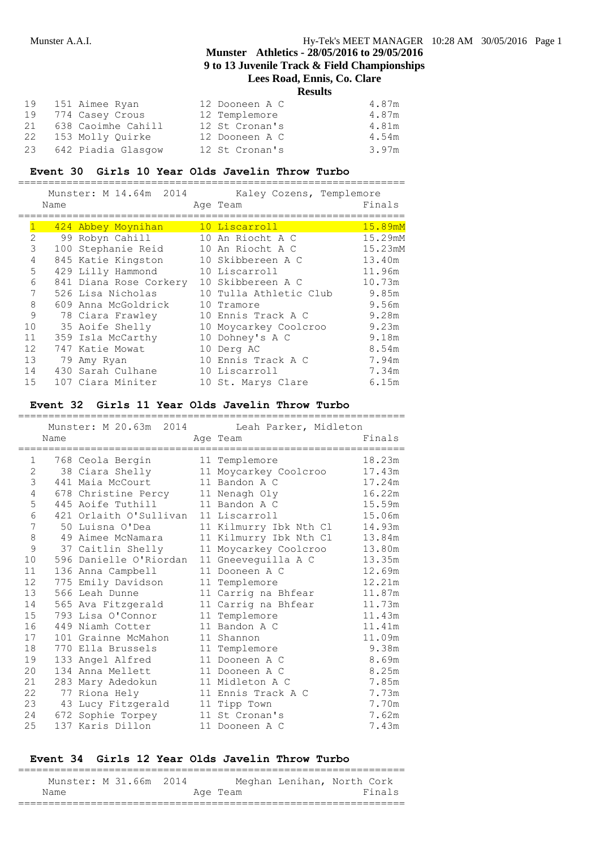# **Munster Athletics - 28/05/2016 to 29/05/2016 9 to 13 Juvenile Track & Field Championships**

**Lees Road, Ennis, Co. Clare**

**Results**

| 19 | 151 Aimee Ryan        | 12 Dooneen A C | 4.87m |
|----|-----------------------|----------------|-------|
|    | 19 774 Casey Crous    | 12 Templemore  | 4.87m |
| 21 | 638 Caoimhe Cahill    | 12 St Cronan's | 4.81m |
| 22 | 153 Molly Quirke      | 12 Dooneen A C | 4.54m |
|    | 23 642 Piadia Glasqow | 12 St Cronan's | 3.97m |

### **Event 30 Girls 10 Year Olds Javelin Throw Turbo**

================================================================

|                   |      | Munster: M 14.64m 2014 | Kaley Cozens, Templemore |         |
|-------------------|------|------------------------|--------------------------|---------|
|                   | Name |                        | Age Team                 | Finals  |
|                   |      |                        |                          |         |
|                   |      | 424 Abbey Moynihan     | 10 Liscarroll            | 15.89mM |
| $\overline{2}$    |      | 99 Robyn Cahill        | 10 An Riocht A C         | 15.29mM |
| 3                 |      | 100 Stephanie Reid     | 10 An Riocht A C         | 15.23mM |
| 4                 |      | 845 Katie Kingston     | 10 Skibbereen A C        | 13.40m  |
| 5                 |      | 429 Lilly Hammond      | 10 Liscarroll            | 11.96m  |
| 6                 |      | 841 Diana Rose Corkery | 10 Skibbereen A C        | 10.73m  |
| 7                 |      | 526 Lisa Nicholas      | 10 Tulla Athletic Club   | 9.85m   |
| 8                 |      | 609 Anna McGoldrick    | 10 Tramore               | 9.56m   |
| 9                 |      | 78 Ciara Frawley       | 10 Ennis Track A C       | 9.28m   |
| 10                |      | 35 Aoife Shelly        | 10 Moycarkey Coolcroo    | 9.23m   |
| 11                |      | 359 Isla McCarthy      | 10 Dohney's A C          | 9.18m   |
| $12 \overline{c}$ |      | 747 Katie Mowat        | 10 Derg AC               | 8.54m   |
| 13                |      | 79 Amy Ryan            | 10 Ennis Track A C       | 7.94m   |
| 14                |      | 430 Sarah Culhane      | 10 Liscarroll            | 7.34m   |
| 15                |      | 107 Ciara Miniter      | 10 St. Marys Clare       | 6.15m   |

#### **Event 32 Girls 11 Year Olds Javelin Throw Turbo** ================================================================

|                   |      |                                      | Munster: M 20.63m 2014 Leah Parker, Midleton |        |
|-------------------|------|--------------------------------------|----------------------------------------------|--------|
|                   | Name |                                      | Age Team                                     | Finals |
| 1                 |      | 768 Ceola Bergin                     | 11 Templemore                                | 18.23m |
| 2                 |      | 38 Ciara Shelly                      | 11 Moycarkey Coolcroo                        | 17.43m |
| 3                 |      | 441 Maia McCourt                     | 11 Bandon A C                                | 17.24m |
| 4                 |      | 678 Christine Percy                  | 11 Nenagh Oly                                | 16.22m |
| 5                 |      | 445 Aoife Tuthill                    | 11 Bandon A C                                | 15.59m |
| 6                 |      | 421 Orlaith O'Sullivan 11 Liscarroll |                                              | 15.06m |
| 7                 |      | 50 Luisna O'Dea                      | 11 Kilmurry Ibk Nth Cl                       | 14.93m |
| 8                 |      | 49 Aimee McNamara                    | 11 Kilmurry Ibk Nth Cl                       | 13.84m |
| 9                 |      | 37 Caitlin Shelly                    | 11 Moycarkey Coolcroo                        | 13.80m |
| 10                |      | 596 Danielle O'Riordan               | 11 Gneeveguilla A C                          | 13.35m |
| 11                |      | 136 Anna Campbell                    | 11 Dooneen A C                               | 12.69m |
| $12 \overline{ }$ |      | 775 Emily Davidson                   | 11 Templemore                                | 12.21m |
| 13                |      | 566 Leah Dunne                       | 11 Carrig na Bhfear                          | 11.87m |
| 14                |      | 565 Ava Fitzgerald                   | 11 Carrig na Bhfear                          | 11.73m |
| 15                |      | 793 Lisa O'Connor                    | 11 Templemore                                | 11.43m |
| 16                |      | 449 Niamh Cotter                     | 11 Bandon A C                                | 11.41m |
| 17                |      | 101 Grainne McMahon                  | 11 Shannon                                   | 11.09m |
| 18                |      | 770 Ella Brussels                    | 11 Templemore                                | 9.38m  |
| 19                |      | 133 Angel Alfred                     | 11 Dooneen A C                               | 8.69m  |
| 20                |      | 134 Anna Mellett                     | 11 Dooneen A C                               | 8.25m  |
| 21                |      | 283 Mary Adedokun                    | 11 Midleton A C                              | 7.85m  |
| 22                |      | 77 Riona Hely                        | 11 Ennis Track A C                           | 7.73m  |
| 23                |      | 43 Lucy Fitzgerald                   | 11 Tipp Town                                 | 7.70m  |
| 24                |      | 672 Sophie Torpey                    | 11 St Cronan's                               | 7.62m  |
| 25                |      | 137 Karis Dillon                     | 11 Dooneen A C                               | 7.43m  |

### **Event 34 Girls 12 Year Olds Javelin Throw Turbo**

| Munster: M 31.66m 2014 |  |  |          | Meghan Lenihan, North Cork |        |
|------------------------|--|--|----------|----------------------------|--------|
| Name                   |  |  | Age Team |                            | Finals |
|                        |  |  |          |                            |        |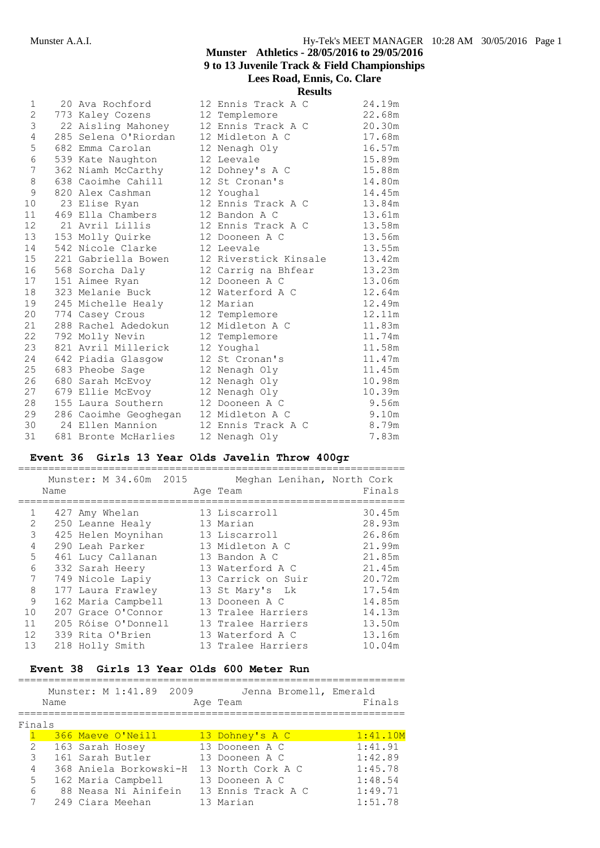| 1               | 20 Ava Rochford       | 12 Ennis Track A C    | 24.19m |
|-----------------|-----------------------|-----------------------|--------|
| $\overline{2}$  | 773 Kaley Cozens      | 12 Templemore         | 22.68m |
| 3               | 22 Aisling Mahoney    | 12 Ennis Track A C    | 20.30m |
| 4               | 285 Selena O'Riordan  | 12 Midleton A C       | 17.68m |
| 5               | 682 Emma Carolan      | 12 Nenagh Oly         | 16.57m |
| 6               | 539 Kate Naughton     | 12 Leevale            | 15.89m |
| 7               | 362 Niamh McCarthy    | 12 Dohney's A C       | 15.88m |
| 8               | 638 Caoimhe Cahill    | 12 St Cronan's        | 14.80m |
| 9               | 820 Alex Cashman      | 12 Youghal            | 14.45m |
| 10 <sup>°</sup> | 23 Elise Ryan         | 12 Ennis Track A C    | 13.84m |
| 11              | 469 Ella Chambers     | 12 Bandon A C         | 13.61m |
| 12 <sup>2</sup> | 21 Avril Lillis       | 12 Ennis Track A C    | 13.58m |
| 13              | 153 Molly Quirke      | 12 Dooneen A C        | 13.56m |
| 14              | 542 Nicole Clarke     | 12 Leevale            | 13.55m |
| 15 <sub>1</sub> | 221 Gabriella Bowen   | 12 Riverstick Kinsale | 13.42m |
| 16              | 568 Sorcha Daly       | 12 Carrig na Bhfear   | 13.23m |
| 17              | 151 Aimee Ryan        | 12 Dooneen A C        | 13.06m |
| 18              | 323 Melanie Buck      | 12 Waterford A C      | 12.64m |
| 19              | 245 Michelle Healy    | 12 Marian             | 12.49m |
| 20              | 774 Casey Crous       | 12 Templemore         | 12.11m |
| 21              | 288 Rachel Adedokun   | 12 Midleton A C       | 11.83m |
| 22              | 792 Molly Nevin       | 12 Templemore         | 11.74m |
| 23              | 821 Avril Millerick   | 12 Youghal            | 11.58m |
| 24              | 642 Piadia Glasgow    | 12 St Cronan's        | 11.47m |
| 25              | 683 Pheobe Sage       | 12 Nenagh Oly         | 11.45m |
| 26              | 680 Sarah McEvoy      | 12 Nenagh Oly         | 10.98m |
| 27              | 679 Ellie McEvoy      | 12 Nenagh Oly         | 10.39m |
| 28              | 155 Laura Southern    | 12 Dooneen A C        | 9.56m  |
| 29              | 286 Caoimhe Geoghegan | 12 Midleton A C       | 9.10m  |
| 30              | 24 Ellen Mannion      | 12 Ennis Track A C    | 8.79m  |
| 31              | 681 Bronte McHarlies  | 12 Nenagh Oly         | 7.83m  |
|                 |                       |                       |        |

# **Event 36 Girls 13 Year Olds Javelin Throw 400gr**

|                | Name | Munster: M 34.60m 2015 | Meghan Lenihan, North Cork<br>Age Team | Finals |
|----------------|------|------------------------|----------------------------------------|--------|
| $\mathbf{1}$   |      | 427 Amy Whelan         | 13 Liscarroll                          | 30.45m |
| 2              |      | 250 Leanne Healy       | 13 Marian                              | 28.93m |
| 3              |      | 425 Helen Moynihan     | 13 Liscarroll                          | 26.86m |
| 4              |      | 290 Leah Parker        | 13 Midleton A C                        | 21.99m |
| 5              |      | 461 Lucy Callanan      | 13 Bandon A C                          | 21.85m |
| 6              |      | 332 Sarah Heery        | 13 Waterford A C                       | 21.45m |
|                |      | 749 Nicole Lapiy       | 13 Carrick on Suir                     | 20.72m |
| 8              |      | 177 Laura Frawley      | 13 St Mary's Lk                        | 17.54m |
| 9              |      | 162 Maria Campbell     | 13 Dooneen A C                         | 14.85m |
| 1 <sub>0</sub> |      | 207 Grace O'Connor     | 13 Tralee Harriers                     | 14.13m |
| 11             |      | 205 Róise O'Donnell    | 13 Tralee Harriers                     | 13.50m |
| 12             |      | 339 Rita O'Brien       | 13 Waterford A C                       | 13.16m |
| 13             |      | 218 Holly Smith        | 13 Tralee Harriers                     | 10.04m |

# **Event 38 Girls 13 Year Olds 600 Meter Run**

|        |      |                 | Munster: M 1:41.89 2009 |  | Jenna Bromell, Emerald |          |
|--------|------|-----------------|-------------------------|--|------------------------|----------|
|        | Name |                 |                         |  | Age Team               | Finals   |
| Finals |      |                 |                         |  |                        |          |
|        |      |                 | 366 Maeve O'Neill       |  | 13 Dohney's A C        | 1:41.10M |
| 2      |      | 163 Sarah Hosey |                         |  | 13 Dooneen A C         | 1:41.91  |
| 3      |      |                 | 161 Sarah Butler        |  | 13 Dooneen A C         | 1:42.89  |
| 4      |      |                 | 368 Aniela Borkowski-H  |  | 13 North Cork A C      | 1:45.78  |
| 5      |      |                 | 162 Maria Campbell      |  | 13 Dooneen A C         | 1:48.54  |
| 6      |      |                 | 88 Neasa Ni Ainifein    |  | 13 Ennis Track A C     | 1:49.71  |
|        |      |                 | 249 Ciara Meehan        |  | 13 Marian              | 1:51.78  |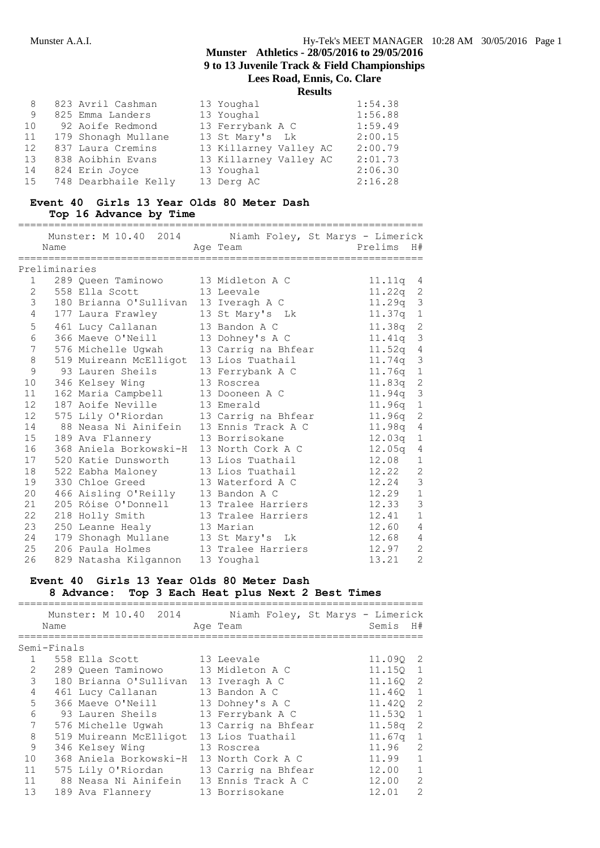| 8  | 823 Avril Cashman    | 13 Youghal             | 1:54.38 |
|----|----------------------|------------------------|---------|
| 9  | 825 Emma Landers     | 13 Youghal             | 1:56.88 |
| 10 | 92 Aoife Redmond     | 13 Ferrybank A C       | 1:59.49 |
| 11 | 179 Shonagh Mullane  | 13 St Mary's Lk        | 2:00.15 |
| 12 | 837 Laura Cremins    | 13 Killarney Valley AC | 2:00.79 |
| 13 | 838 Aoibhin Evans    | 13 Killarney Valley AC | 2:01.73 |
| 14 | 824 Erin Joyce       | 13 Youghal             | 2:06.30 |
| 15 | 748 Dearbhaile Kelly | 13 Derg AC             | 2:16.28 |
|    |                      |                        |         |

### **Event 40 Girls 13 Year Olds 80 Meter Dash Top 16 Advance by Time**

|                 |               | Munster: M 10.40 2014                    | Niamh Foley, St Marys - Limerick |                                   |
|-----------------|---------------|------------------------------------------|----------------------------------|-----------------------------------|
|                 | Name          |                                          | Age Team                         | Prelims<br>H#                     |
|                 |               |                                          |                                  |                                   |
|                 | Preliminaries |                                          |                                  |                                   |
|                 | $1 \quad$     | 289 Oueen Taminowo                       | 13 Midleton A C                  | 11.11q 4                          |
|                 |               | 2 558 Ella Scott                         | 13 Leevale                       | $11.22q$ 2                        |
| 3               |               | 180 Brianna O'Sullivan 13 Iveragh A C    |                                  | 11.29q 3                          |
| 4               |               | 177 Laura Frawley                        | 13 St Mary's Lk                  | 11.37q<br>$\mathbf{1}$            |
| 5               |               | 461 Lucy Callanan                        | 13 Bandon A C                    | $11.38q$ 2                        |
| 6               |               | 366 Maeve O'Neill                        | 13 Dohney's A C                  | 11.41q 3                          |
| 7               |               | 576 Michelle Ugwah                       | 13 Carrig na Bhfear              | $\sqrt{4}$<br>11.52q              |
| 8               |               | 519 Muireann McElligot 13 Lios Tuathail  |                                  | $\mathfrak{Z}$<br>11.74q          |
| 9               |               | 93 Lauren Sheils 13 Ferrybank A C        |                                  | $11.76q$ 1                        |
| 10 <sub>o</sub> |               | 346 Kelsey Wing                          | 13 Roscrea                       | 11.83q 2                          |
| 11              |               | 162 Maria Campbell                       | 13 Dooneen A C                   | $\overline{\mathbf{3}}$<br>11.94q |
| 12              |               | 187 Aoife Neville                        | 13 Emerald                       | $\mathbf{1}$<br>11.96q            |
| 12 <sup>2</sup> |               | 575 Lily O'Riordan                       | 13 Carrig na Bhfear              | $\sqrt{2}$<br>11.96q              |
| 14              |               | 88 Neasa Ni Ainifein                     | 13 Ennis Track A C               | 11.98q 4                          |
| 15              |               | 189 Ava Flannery                         | 13 Borrisokane                   | 12.03q<br>$\mathbf{1}$            |
| 16              |               | 368 Aniela Borkowski-H 13 North Cork A C |                                  | 12.05q<br>$\overline{4}$          |
| 17              |               | 520 Katie Dunsworth                      | 13 Lios Tuathail                 | 12.08<br>$\mathbf 1$              |
| 18              |               | 522 Eabha Maloney                        | 13 Lios Tuathail                 | $\overline{c}$<br>12.22           |
| 19              |               | 330 Chloe Greed                          | 13 Waterford A C                 | $\mathfrak{Z}$<br>12.24           |
| 20              |               | 466 Aisling O'Reilly 13 Bandon A C       |                                  | $\mathbf{1}$<br>12.29             |
| 21              |               | 205 Róise O'Donnell 13 Tralee Harriers   |                                  | $\mathfrak{Z}$<br>12.33           |
| 22              |               | 218 Holly Smith                          | 13 Tralee Harriers               | $\mathbf{1}$<br>12.41             |
| 23              |               | 250 Leanne Healy                         | 13 Marian                        | $\overline{4}$<br>12.60           |
| 24              |               | 179 Shonagh Mullane 13 St Mary's Lk      |                                  | $\overline{4}$<br>12.68           |
| 25              |               | 206 Paula Holmes                         | 13 Tralee Harriers               | $\overline{2}$<br>12.97           |
| 26              |               | 829 Natasha Kilgannon                    | 13 Youghal                       | $\overline{2}$<br>13.21           |

# **Event 40 Girls 13 Year Olds 80 Meter Dash 8 Advance: Top 3 Each Heat plus Next 2 Best Times**

|                | Name        | Munster: M 10.40 2014                    | Niamh Foley, St Marys - Limerick<br>Age Team | Semis H#   |   |
|----------------|-------------|------------------------------------------|----------------------------------------------|------------|---|
|                | Semi-Finals |                                          |                                              |            |   |
|                |             | 558 Ella Scott                           | 13 Leevale                                   | 11.090 2   |   |
| $\overline{2}$ |             | 289 Queen Taminowo                       | 13 Midleton A C                              | 11.150 1   |   |
| 3              |             | 180 Brianna O'Sullivan                   | 13 Iveragh A C                               | 11.160 2   |   |
| $\overline{4}$ |             | 461 Lucy Callanan                        | 13 Bandon A C                                | 11.460 1   |   |
| 5              |             | 366 Maeve O'Neill                        | 13 Dohney's A C                              | 11.420 2   |   |
| 6              |             | 93 Lauren Sheils                         | 13 Ferrybank A C                             | 11.530 1   |   |
| $7^{\circ}$    |             | 576 Michelle Uqwah                       | 13 Carrig na Bhfear                          | $11.58q$ 2 |   |
| 8              |             | 519 Muireann McElligot                   | 13 Lios Tuathail                             | $11.67q$ 1 |   |
| 9              |             | 346 Kelsey Wing                          | 13 Roscrea                                   | 11.96 2    |   |
| 10             |             | 368 Aniela Borkowski-H 13 North Cork A C |                                              | $11.99$ 1  |   |
| 11             |             | 575 Lily O'Riordan                       | 13 Carrig na Bhfear                          | 12.00 1    |   |
| 11             |             | 88 Neasa Ni Ainifein 13 Ennis Track A C  |                                              | 12.00 2    |   |
| 13             |             | 189 Ava Flannery                         | 13 Borrisokane                               | 12.01      | 2 |
|                |             |                                          |                                              |            |   |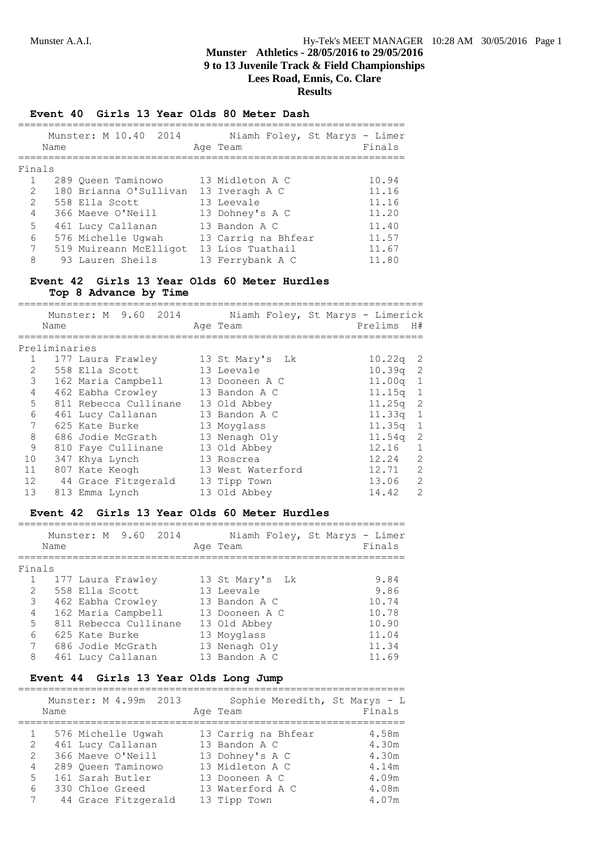### **Event 40 Girls 13 Year Olds 80 Meter Dash**

|                       | Name | Munster: M 10.40 2014  | Niamh Foley, St Marys - Limer<br>Age Team | Finals |
|-----------------------|------|------------------------|-------------------------------------------|--------|
| Finals                |      |                        |                                           |        |
| $\mathbf{1}$          |      | 289 Oueen Taminowo     | 13 Midleton A C                           | 10.94  |
| $\mathbf{2}^{\prime}$ |      | 180 Brianna O'Sullivan | 13 Iveragh A C                            | 11.16  |
| 2                     |      | 558 Ella Scott         | 13 Leevale                                | 11.16  |
| $\overline{4}$        |      | 366 Maeve O'Neill      | 13 Dohney's A C                           | 11.20  |
| 5                     |      | 461 Lucy Callanan      | 13 Bandon A C                             | 11.40  |
| 6                     |      | 576 Michelle Uqwah     | 13 Carrig na Bhfear                       | 11.57  |
| $7^{\circ}$           |      | 519 Muireann McElligot | 13 Lios Tuathail                          | 11.67  |
| 8                     |      | 93 Lauren Sheils       | 13 Ferrybank A C                          | 11.80  |

# **Event 42 Girls 13 Year Olds 60 Meter Hurdles Top 8 Advance by Time**

|                       | Name          | Munster: M 9.60 2014  | Age Team          | Niamh Foley, St Marys - Limerick<br>Prelims | H#             |
|-----------------------|---------------|-----------------------|-------------------|---------------------------------------------|----------------|
|                       | Preliminaries |                       |                   |                                             |                |
|                       |               | 177 Laura Frawley     | 13 St Mary's Lk   | $10.22q$ 2                                  |                |
| $\mathbf{2}^{\prime}$ |               | 558 Ella Scott        | 13 Leevale        | $10.39q$ 2                                  |                |
| 3                     |               | 162 Maria Campbell    | 13 Dooneen A C    | $11.00q$ 1                                  |                |
| 4                     |               | 462 Eabha Crowley     | 13 Bandon A C     | 11.15q 1                                    |                |
| 5 <sup>5</sup>        |               | 811 Rebecca Cullinane | 13 Old Abbey      | $11.25q$ 2                                  |                |
| 6                     |               | 461 Lucy Callanan     | 13 Bandon A C     | 11.33q 1                                    |                |
| 7                     |               | 625 Kate Burke        | 13 Moyglass       | $11.35q$ 1                                  |                |
| 8                     |               | 686 Jodie McGrath     | 13 Nenagh Oly     | $11.54q$ 2                                  |                |
| 9                     |               | 810 Faye Cullinane    | 13 Old Abbey      | 12.16                                       | $\mathbf{1}$   |
| 10                    |               | 347 Khya Lynch        | 13 Roscrea        | 12.24                                       | 2              |
| 11                    |               | 807 Kate Keogh        | 13 West Waterford | 12.71                                       | 2              |
| 12                    |               | 44 Grace Fitzgerald   | 13 Tipp Town      | 13.06                                       | $\mathcal{L}$  |
| 13                    |               | 813 Emma Lynch        | 13 Old Abbey      | 14.42                                       | $\overline{2}$ |

# **Event 42 Girls 13 Year Olds 60 Meter Hurdles**

|        | Name | Munster: M 9.60 2014  | Niamh Foley, St Marys - Limer<br>Age Team | Finals |
|--------|------|-----------------------|-------------------------------------------|--------|
| Finals |      |                       |                                           |        |
|        |      | 177 Laura Frawley     | 13 St Mary's Lk                           | 9.84   |
| 2      |      | 558 Ella Scott        | 13 Leevale                                | 9.86   |
| 3      |      | 462 Eabha Crowley     | 13 Bandon A C                             | 10.74  |
| 4      |      | 162 Maria Campbell    | 13 Dooneen A C                            | 10.78  |
| 5      |      | 811 Rebecca Cullinane | 13 Old Abbey                              | 10.90  |
| 6      |      | 625 Kate Burke        | 13 Moyglass                               | 11.04  |
| 7      |      | 686 Jodie McGrath     | 13 Nenagh Oly                             | 11.34  |
| 8      |      | 461 Lucy Callanan     | 13 Bandon A C                             | 11.69  |

# **Event 44 Girls 13 Year Olds Long Jump**

|   | Munster: M 4.99m 2013<br>Name | Sophie Meredith, St Marys - L<br>Age Team | Finals |
|---|-------------------------------|-------------------------------------------|--------|
| 1 | 576 Michelle Uqwah            | 13 Carrig na Bhfear                       | 4.58m  |
| 2 | 461 Lucy Callanan             | 13 Bandon A C                             | 4.30m  |
| 2 | 366 Maeve O'Neill             | 13 Dohney's A C                           | 4.30m  |
| 4 | 289 Oueen Taminowo            | 13 Midleton A C                           | 4.14m  |
| 5 | 161 Sarah Butler              | 13 Dooneen A C                            | 4.09m  |
| 6 | 330 Chloe Greed               | 13 Waterford A C                          | 4.08m  |
| 7 | 44 Grace Fitzgerald           | 13 Tipp Town                              | 4.07m  |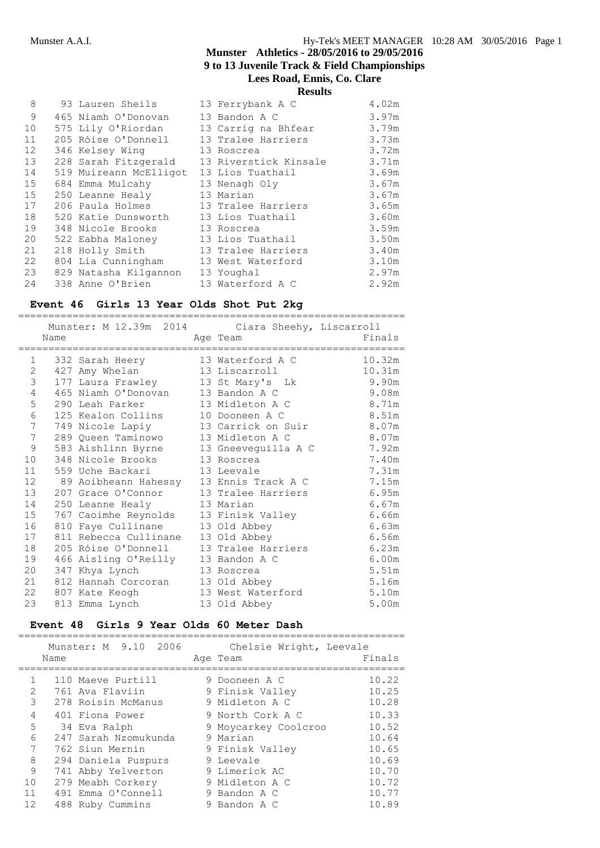| 8  | 93 Lauren Sheils       | 13 Ferrybank A C      | 4.02m |
|----|------------------------|-----------------------|-------|
| 9  | 465 Niamh O'Donovan    | 13 Bandon A C         | 3.97m |
| 10 | 575 Lily O'Riordan     | 13 Carrig na Bhfear   | 3.79m |
| 11 | 205 Róise O'Donnell    | 13 Tralee Harriers    | 3.73m |
| 12 | 346 Kelsey Wing        | 13 Roscrea            | 3.72m |
| 13 | 228 Sarah Fitzgerald   | 13 Riverstick Kinsale | 3.71m |
| 14 | 519 Muireann McElligot | 13 Lios Tuathail      | 3.69m |
| 15 | 684 Emma Mulcahy       | 13 Nenagh Oly         | 3.67m |
| 15 | 250 Leanne Healy       | 13 Marian             | 3.67m |
| 17 | 206 Paula Holmes       | 13 Tralee Harriers    | 3.65m |
| 18 | 520 Katie Dunsworth    | 13 Lios Tuathail      | 3.60m |
| 19 | 348 Nicole Brooks      | 13 Roscrea            | 3.59m |
| 20 | 522 Eabha Maloney      | 13 Lios Tuathail      | 3.50m |
| 21 | 218 Holly Smith        | 13 Tralee Harriers    | 3.40m |
| 22 | 804 Lia Cunningham     | 13 West Waterford     | 3.10m |
| 23 | 829 Natasha Kilgannon  | 13 Youghal            | 2.97m |
| 24 | 338 Anne O'Brien       | 13 Waterford A C      | 2.92m |

================================================================

#### **Event 46 Girls 13 Year Olds Shot Put 2kg**

Munster: M 12.39m 2014 Ciara Sheehy, Liscarroll<br>Name Age Team Fina Name **Age Team** Age Team Finals ================================================================ 1 332 Sarah Heery 13 Waterford A C 10.32m 2 427 Amy Whelan 13 Liscarroll 10.31m 3 177 Laura Frawley 13 St Mary's Lk 9.90m 4 465 Niamh O'Donovan 13 Bandon A C 9.08m 5 290 Leah Parker 13 Midleton A C 8.71m 6 125 Kealon Collins 10 Dooneen A C 8.51m 7 749 Nicole Lapiy 13 Carrick on Suir 8.07m 7 289 Queen Taminowo 13 Midleton A C 8.07m 9 583 Aishlinn Byrne 13 Gneeveguilla A C 7.92m 10 348 Nicole Brooks 13 Roscrea 7.40m 11 559 Uche Backari 13 Leevale 11 7.31m 12 89 Aoibheann Hahessy 13 Ennis Track A C 7.15m 13 207 Grace O'Connor 13 Tralee Harriers 6.95m 14 250 Leanne Healy 13 Marian 18 Marian 6.67m 15 767 Caoimhe Reynolds 13 Finisk Valley 6.66m 16 810 Faye Cullinane 13 Old Abbey 6.63m 17 811 Rebecca Cullinane 13 Old Abbey 6.56m 18 205 Róise O'Donnell 13 Tralee Harriers 6.23m 19 466 Aisling O'Reilly 13 Bandon A C 6.00m 20 347 Khya Lynch 13 Roscrea 5.51m 21 812 Hannah Corcoran 13 Old Abbey 5.16m 22 807 Kate Keogh 13 West Waterford 5.10m 23 813 Emma Lynch 13 Old Abbey 5.00m

#### **Event 48 Girls 9 Year Olds 60 Meter Dash** ================================================================

|    | Name | Munster: M 9.10 2006 | Chelsie Wright, Leevale<br>Age Team | Finals |
|----|------|----------------------|-------------------------------------|--------|
|    |      | 110 Maeve Purtill    | 9 Dooneen A C                       | 10.22  |
| 2  |      | 761 Ava Flaviin      | 9 Finisk Valley                     | 10.25  |
| 3  |      | 278 Roisin McManus   | 9 Midleton A C                      | 10.28  |
| 4  |      | 401 Fiona Power      | 9 North Cork A C                    | 10.33  |
| 5  |      | 34 Eva Ralph         | 9 Moycarkey Coolcroo                | 10.52  |
| 6  |      | 247 Sarah Nzomukunda | 9 Marian                            | 10.64  |
| 7  |      | 762 Siun Mernin      | 9 Finisk Valley                     | 10.65  |
| 8  |      | 294 Daniela Puspurs  | 9 Leevale                           | 10.69  |
| 9  |      | 741 Abby Yelverton   | 9 Limerick AC                       | 10.70  |
| 10 |      | 279 Meabh Corkery    | 9 Midleton A C                      | 10.72  |
| 11 |      | 491 Emma O'Connell   | 9 Bandon A C                        | 10.77  |
| 12 |      | 488 Ruby Cummins     | 9 Bandon A C                        | 10.89  |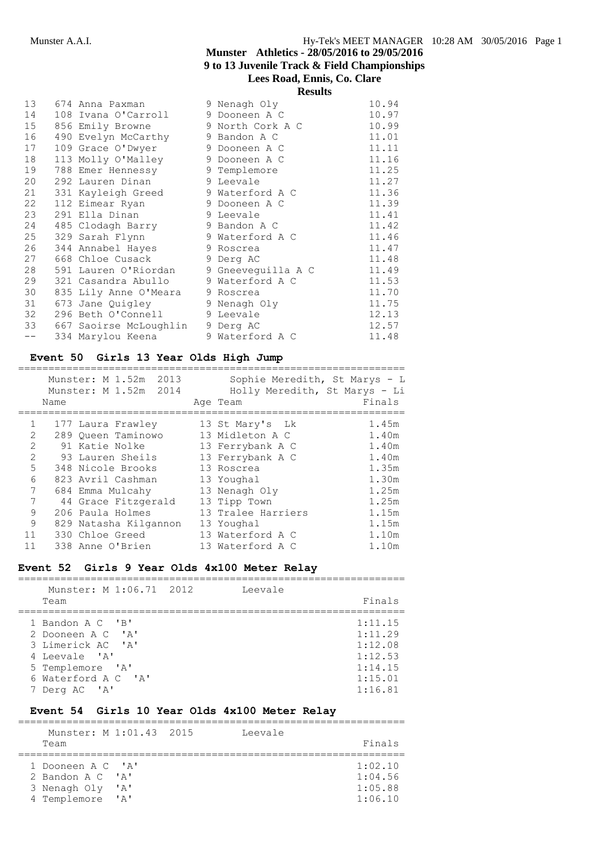|      |  | <b>Results</b>         |                    |       |
|------|--|------------------------|--------------------|-------|
| 13   |  | 674 Anna Paxman        | 9 Nenagh Oly       | 10.94 |
| 14   |  | 108 Ivana O'Carroll    | 9 Dooneen A C      | 10.97 |
| 15   |  | 856 Emily Browne       | 9 North Cork A C   | 10.99 |
| 16   |  | 490 Evelyn McCarthy    | 9 Bandon A C       | 11.01 |
| 17   |  | 109 Grace O'Dwyer      | 9 Dooneen A C      | 11.11 |
| 18   |  | 113 Molly O'Malley     | 9 Dooneen A C      | 11.16 |
| 19   |  | 788 Emer Hennessy      | 9 Templemore       | 11.25 |
| 20   |  | 292 Lauren Dinan       | 9 Leevale          | 11.27 |
| 21   |  | 331 Kayleigh Greed     | 9 Waterford A C    | 11.36 |
| 22   |  | 112 Eimear Ryan        | 9 Dooneen A C      | 11.39 |
| 23   |  | 291 Ella Dinan         | 9 Leevale          | 11.41 |
| 24   |  | 485 Clodagh Barry      | 9 Bandon A C       | 11.42 |
| 25   |  | 329 Sarah Flynn        | 9 Waterford A C    | 11.46 |
| 26   |  | 344 Annabel Hayes      | 9 Roscrea          | 11.47 |
| 27   |  | 668 Chloe Cusack       | 9 Derg AC          | 11.48 |
| 28   |  | 591 Lauren O'Riordan   | 9 Gneeveguilla A C | 11.49 |
| 29   |  | 321 Casandra Abullo    | 9 Waterford A C    | 11.53 |
| 30   |  | 835 Lily Anne O'Meara  | 9 Roscrea          | 11.70 |
| 31   |  | 673 Jane Quigley       | 9 Nenagh Oly       | 11.75 |
| 32   |  | 296 Beth O'Connell     | 9 Leevale          | 12.13 |
| 33   |  | 667 Saoirse McLoughlin | 9 Derg AC          | 12.57 |
| $--$ |  | 334 Marylou Keena      | 9 Waterford A C    | 11.48 |

# **Event 50 Girls 13 Year Olds High Jump**

|                             | Name | Munster: M 1.52m 2013<br>Munster: M 1.52m 2014 | Sophie Meredith, St Marys - L<br>Holly Meredith, St Marys - Li<br>Age Team | Finals |
|-----------------------------|------|------------------------------------------------|----------------------------------------------------------------------------|--------|
| $\mathbf{1}$                |      | 177 Laura Frawley                              | 13 St Mary's Lk                                                            | 1.45m  |
| $\mathcal{D}_{\mathcal{L}}$ |      | 289 Oueen Taminowo                             | 13 Midleton A C                                                            | 1.40m  |
| $\overline{2}$              |      | 91 Katie Nolke                                 | 13 Ferrybank A C                                                           | 1.40m  |
| $\mathfrak{D}$              |      | 93 Lauren Sheils                               | 13 Ferrybank A C                                                           | 1.40m  |
| 5                           |      | 348 Nicole Brooks                              | 13 Roscrea                                                                 | 1.35m  |
| 6                           |      | 823 Avril Cashman                              | 13 Youghal                                                                 | 1.30m  |
| 7                           |      | 684 Emma Mulcahy                               | 13 Nenagh Oly                                                              | 1.25m  |
| 7                           |      | 44 Grace Fitzgerald                            | 13 Tipp Town                                                               | 1.25m  |
| 9                           |      | 206 Paula Holmes                               | 13 Tralee Harriers                                                         | 1.15m  |
| 9                           |      | 829 Natasha Kilgannon                          | 13 Youghal                                                                 | 1.15m  |
| 11                          |      | 330 Chloe Greed                                | 13 Waterford A C                                                           | 1.10m  |
| 11                          |      | 338 Anne O'Brien                               | 13 Waterford A C                                                           | 1.10m  |

# **Event 52 Girls 9 Year Olds 4x100 Meter Relay**

| Munster: M 1:06.71 2012 | Leevale |         |
|-------------------------|---------|---------|
| Team                    |         | Finals  |
|                         |         |         |
| 1 Bandon A C 'B'        |         | 1:11.15 |
| 2 Dooneen A C 'A'       |         | 1:11.29 |
| 3 Limerick AC 'A'       |         | 1:12.08 |
| 4 Leevale 'A'           |         | 1:12.53 |
| 5 Templemore 'A'        |         | 1:14.15 |
| 6 Waterford A C 'A'     |         | 1:15.01 |
| 7 Derg AC 'A'           |         | 1:16.81 |

# **Event 54 Girls 10 Year Olds 4x100 Meter Relay**

| Munster: M 1:01.43 2015 |      | Leevale |         |
|-------------------------|------|---------|---------|
| Team                    |      |         | Finals  |
|                         |      |         |         |
| 1 Dooneen A C 'A'       |      |         | 1:02.10 |
| 2 Bandon A C 'A'        |      |         | 1:04.56 |
| 3 Nenagh Oly            | ' A' |         | 1:05.88 |
| 4 Templemore            | יבי  |         | 1:06.10 |